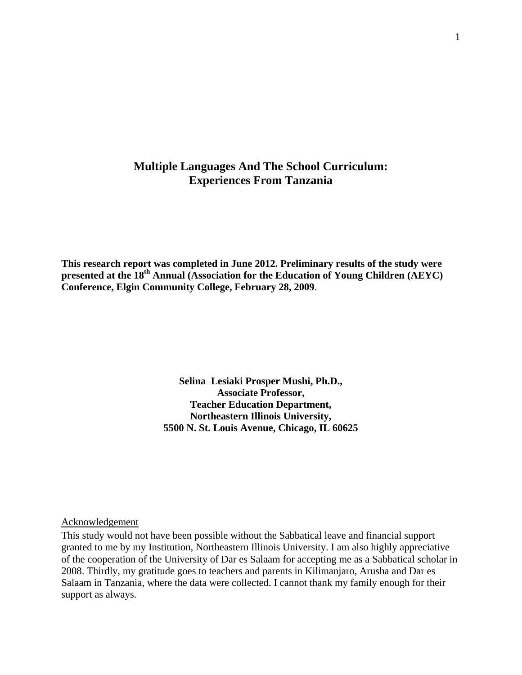## **Multiple Languages And The School Curriculum: Experiences From Tanzania**

**This research report was completed in June 2012. Preliminary results of the study were presented at the 18th Annual (Association for the Education of Young Children (AEYC) Conference, Elgin Community College, February 28, 2009**.

> **Selina Lesiaki Prosper Mushi, Ph.D., Associate Professor, Teacher Education Department, Northeastern Illinois University, 5500 N. St. Louis Avenue, Chicago, IL 60625**

## Acknowledgement

This study would not have been possible without the Sabbatical leave and financial support granted to me by my Institution, Northeastern Illinois University. I am also highly appreciative of the cooperation of the University of Dar es Salaam for accepting me as a Sabbatical scholar in 2008. Thirdly, my gratitude goes to teachers and parents in Kilimanjaro, Arusha and Dar es Salaam in Tanzania, where the data were collected. I cannot thank my family enough for their support as always.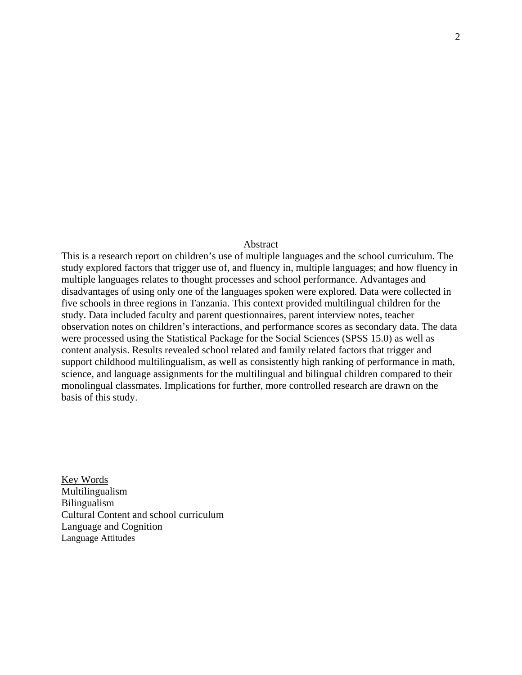### Abstract

This is a research report on children's use of multiple languages and the school curriculum. The study explored factors that trigger use of, and fluency in, multiple languages; and how fluency in multiple languages relates to thought processes and school performance. Advantages and disadvantages of using only one of the languages spoken were explored. Data were collected in five schools in three regions in Tanzania. This context provided multilingual children for the study. Data included faculty and parent questionnaires, parent interview notes, teacher observation notes on children's interactions, and performance scores as secondary data. The data were processed using the Statistical Package for the Social Sciences (SPSS 15.0) as well as content analysis. Results revealed school related and family related factors that trigger and support childhood multilingualism, as well as consistently high ranking of performance in math, science, and language assignments for the multilingual and bilingual children compared to their monolingual classmates. Implications for further, more controlled research are drawn on the basis of this study.

Key Words Multilingualism Bilingualism Cultural Content and school curriculum Language and Cognition Language Attitudes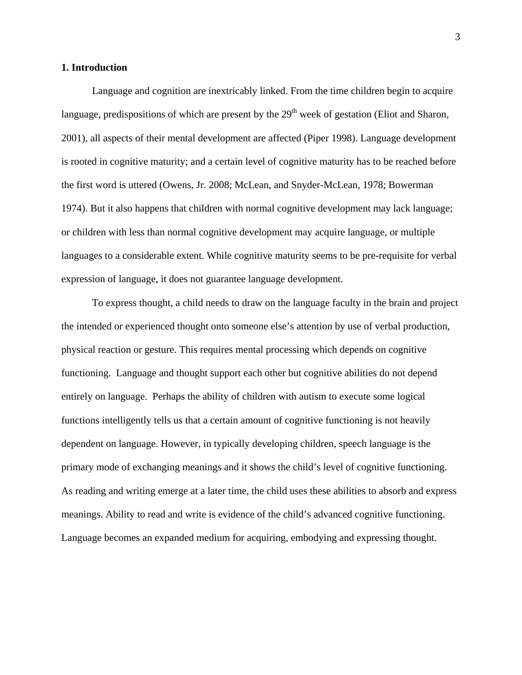#### **1. Introduction**

Language and cognition are inextricably linked. From the time children begin to acquire language, predispositions of which are present by the  $29<sup>th</sup>$  week of gestation (Eliot and Sharon, 2001), all aspects of their mental development are affected (Piper 1998). Language development is rooted in cognitive maturity; and a certain level of cognitive maturity has to be reached before the first word is uttered (Owens, Jr. 2008; McLean, and Snyder-McLean, 1978; Bowerman 1974). But it also happens that children with normal cognitive development may lack language; or children with less than normal cognitive development may acquire language, or multiple languages to a considerable extent. While cognitive maturity seems to be pre-requisite for verbal expression of language, it does not guarantee language development.

To express thought, a child needs to draw on the language faculty in the brain and project the intended or experienced thought onto someone else's attention by use of verbal production, physical reaction or gesture. This requires mental processing which depends on cognitive functioning. Language and thought support each other but cognitive abilities do not depend entirely on language. Perhaps the ability of children with autism to execute some logical functions intelligently tells us that a certain amount of cognitive functioning is not heavily dependent on language. However, in typically developing children, speech language is the primary mode of exchanging meanings and it shows the child's level of cognitive functioning. As reading and writing emerge at a later time, the child uses these abilities to absorb and express meanings. Ability to read and write is evidence of the child's advanced cognitive functioning. Language becomes an expanded medium for acquiring, embodying and expressing thought.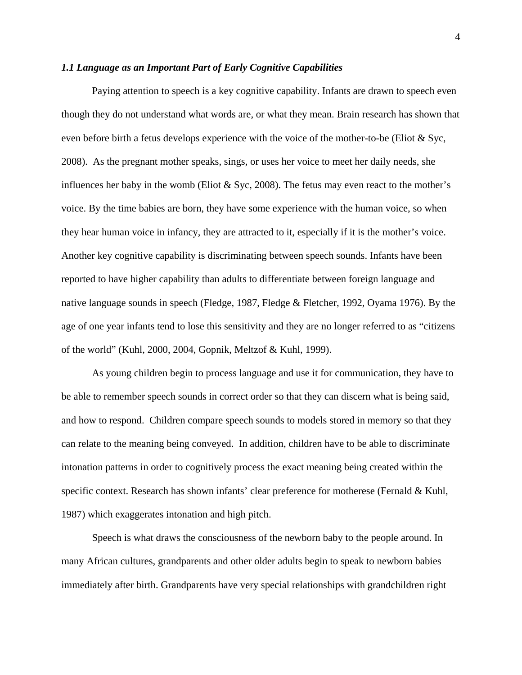#### *1.1 Language as an Important Part of Early Cognitive Capabilities*

Paying attention to speech is a key cognitive capability. Infants are drawn to speech even though they do not understand what words are, or what they mean. Brain research has shown that even before birth a fetus develops experience with the voice of the mother-to-be (Eliot & Syc, 2008). As the pregnant mother speaks, sings, or uses her voice to meet her daily needs, she influences her baby in the womb (Eliot  $&$  Syc, 2008). The fetus may even react to the mother's voice. By the time babies are born, they have some experience with the human voice, so when they hear human voice in infancy, they are attracted to it, especially if it is the mother's voice. Another key cognitive capability is discriminating between speech sounds. Infants have been reported to have higher capability than adults to differentiate between foreign language and native language sounds in speech (Fledge, 1987, Fledge & Fletcher, 1992, Oyama 1976). By the age of one year infants tend to lose this sensitivity and they are no longer referred to as "citizens of the world" (Kuhl, 2000, 2004, Gopnik, Meltzof & Kuhl, 1999).

As young children begin to process language and use it for communication, they have to be able to remember speech sounds in correct order so that they can discern what is being said, and how to respond. Children compare speech sounds to models stored in memory so that they can relate to the meaning being conveyed. In addition, children have to be able to discriminate intonation patterns in order to cognitively process the exact meaning being created within the specific context. Research has shown infants' clear preference for motherese (Fernald & Kuhl, 1987) which exaggerates intonation and high pitch.

Speech is what draws the consciousness of the newborn baby to the people around. In many African cultures, grandparents and other older adults begin to speak to newborn babies immediately after birth. Grandparents have very special relationships with grandchildren right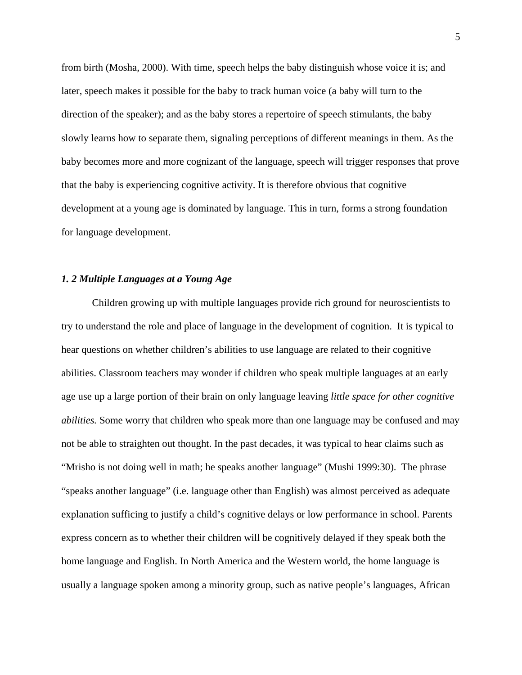from birth (Mosha, 2000). With time, speech helps the baby distinguish whose voice it is; and later, speech makes it possible for the baby to track human voice (a baby will turn to the direction of the speaker); and as the baby stores a repertoire of speech stimulants, the baby slowly learns how to separate them, signaling perceptions of different meanings in them. As the baby becomes more and more cognizant of the language, speech will trigger responses that prove that the baby is experiencing cognitive activity. It is therefore obvious that cognitive development at a young age is dominated by language. This in turn, forms a strong foundation for language development.

## *1. 2 Multiple Languages at a Young Age*

Children growing up with multiple languages provide rich ground for neuroscientists to try to understand the role and place of language in the development of cognition. It is typical to hear questions on whether children's abilities to use language are related to their cognitive abilities. Classroom teachers may wonder if children who speak multiple languages at an early age use up a large portion of their brain on only language leaving *little space for other cognitive abilities.* Some worry that children who speak more than one language may be confused and may not be able to straighten out thought. In the past decades, it was typical to hear claims such as "Mrisho is not doing well in math; he speaks another language" (Mushi 1999:30). The phrase "speaks another language" (i.e. language other than English) was almost perceived as adequate explanation sufficing to justify a child's cognitive delays or low performance in school. Parents express concern as to whether their children will be cognitively delayed if they speak both the home language and English. In North America and the Western world, the home language is usually a language spoken among a minority group, such as native people's languages, African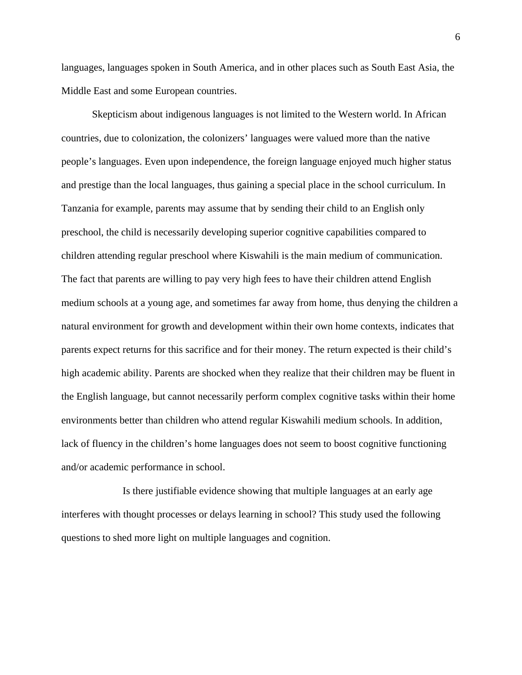languages, languages spoken in South America, and in other places such as South East Asia, the Middle East and some European countries.

Skepticism about indigenous languages is not limited to the Western world. In African countries, due to colonization, the colonizers' languages were valued more than the native people's languages. Even upon independence, the foreign language enjoyed much higher status and prestige than the local languages, thus gaining a special place in the school curriculum. In Tanzania for example, parents may assume that by sending their child to an English only preschool, the child is necessarily developing superior cognitive capabilities compared to children attending regular preschool where Kiswahili is the main medium of communication. The fact that parents are willing to pay very high fees to have their children attend English medium schools at a young age, and sometimes far away from home, thus denying the children a natural environment for growth and development within their own home contexts, indicates that parents expect returns for this sacrifice and for their money. The return expected is their child's high academic ability. Parents are shocked when they realize that their children may be fluent in the English language, but cannot necessarily perform complex cognitive tasks within their home environments better than children who attend regular Kiswahili medium schools. In addition, lack of fluency in the children's home languages does not seem to boost cognitive functioning and/or academic performance in school.

Is there justifiable evidence showing that multiple languages at an early age interferes with thought processes or delays learning in school? This study used the following questions to shed more light on multiple languages and cognition.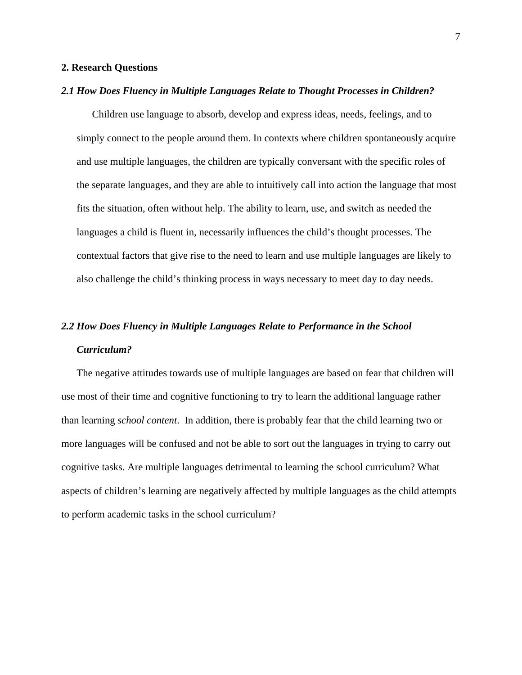### **2. Research Questions**

### *2.1 How Does Fluency in Multiple Languages Relate to Thought Processes in Children?*

Children use language to absorb, develop and express ideas, needs, feelings, and to simply connect to the people around them. In contexts where children spontaneously acquire and use multiple languages, the children are typically conversant with the specific roles of the separate languages, and they are able to intuitively call into action the language that most fits the situation, often without help. The ability to learn, use, and switch as needed the languages a child is fluent in, necessarily influences the child's thought processes. The contextual factors that give rise to the need to learn and use multiple languages are likely to also challenge the child's thinking process in ways necessary to meet day to day needs.

## *2.2 How Does Fluency in Multiple Languages Relate to Performance in the School Curriculum?*

The negative attitudes towards use of multiple languages are based on fear that children will use most of their time and cognitive functioning to try to learn the additional language rather than learning *school content*. In addition, there is probably fear that the child learning two or more languages will be confused and not be able to sort out the languages in trying to carry out cognitive tasks. Are multiple languages detrimental to learning the school curriculum? What aspects of children's learning are negatively affected by multiple languages as the child attempts to perform academic tasks in the school curriculum?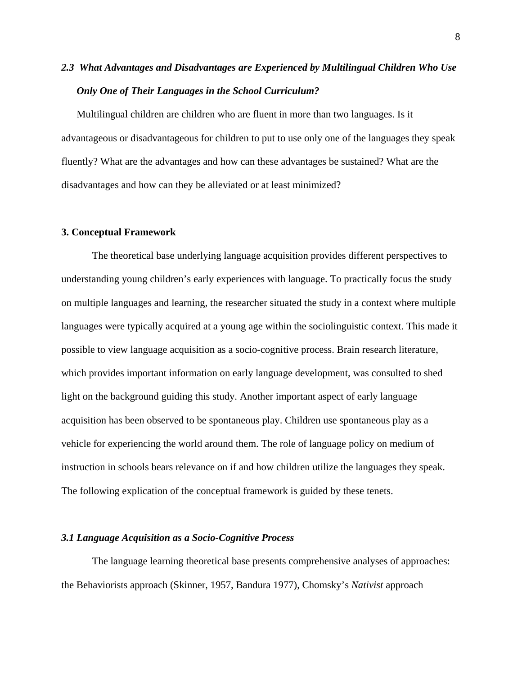## *2.3 What Advantages and Disadvantages are Experienced by Multilingual Children Who Use Only One of Their Languages in the School Curriculum?*

Multilingual children are children who are fluent in more than two languages. Is it advantageous or disadvantageous for children to put to use only one of the languages they speak fluently? What are the advantages and how can these advantages be sustained? What are the disadvantages and how can they be alleviated or at least minimized?

#### **3. Conceptual Framework**

The theoretical base underlying language acquisition provides different perspectives to understanding young children's early experiences with language. To practically focus the study on multiple languages and learning, the researcher situated the study in a context where multiple languages were typically acquired at a young age within the sociolinguistic context. This made it possible to view language acquisition as a socio-cognitive process. Brain research literature, which provides important information on early language development, was consulted to shed light on the background guiding this study. Another important aspect of early language acquisition has been observed to be spontaneous play. Children use spontaneous play as a vehicle for experiencing the world around them. The role of language policy on medium of instruction in schools bears relevance on if and how children utilize the languages they speak. The following explication of the conceptual framework is guided by these tenets.

#### *3.1 Language Acquisition as a Socio-Cognitive Process*

The language learning theoretical base presents comprehensive analyses of approaches: the Behaviorists approach (Skinner, 1957, Bandura 1977), Chomsky's *Nativist* approach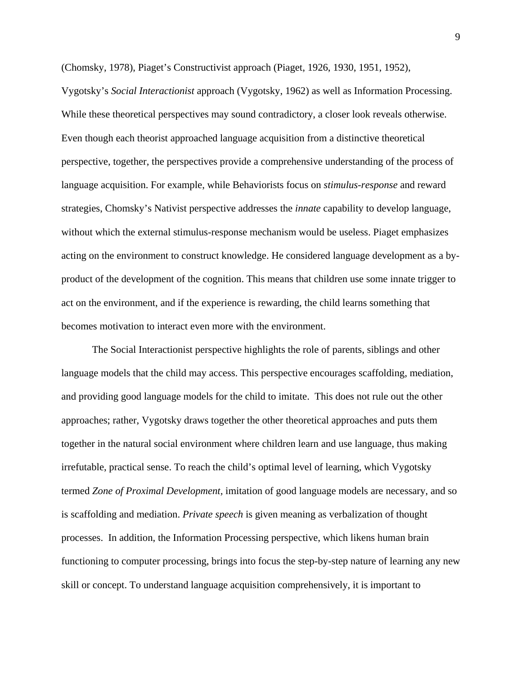(Chomsky, 1978), Piaget's Constructivist approach (Piaget, 1926, 1930, 1951, 1952),

Vygotsky's *Social Interactionist* approach (Vygotsky, 1962) as well as Information Processing. While these theoretical perspectives may sound contradictory, a closer look reveals otherwise. Even though each theorist approached language acquisition from a distinctive theoretical perspective, together, the perspectives provide a comprehensive understanding of the process of language acquisition. For example, while Behaviorists focus on *stimulus-response* and reward strategies, Chomsky's Nativist perspective addresses the *innate* capability to develop language, without which the external stimulus-response mechanism would be useless. Piaget emphasizes acting on the environment to construct knowledge. He considered language development as a byproduct of the development of the cognition. This means that children use some innate trigger to act on the environment, and if the experience is rewarding, the child learns something that becomes motivation to interact even more with the environment.

The Social Interactionist perspective highlights the role of parents, siblings and other language models that the child may access. This perspective encourages scaffolding, mediation, and providing good language models for the child to imitate. This does not rule out the other approaches; rather, Vygotsky draws together the other theoretical approaches and puts them together in the natural social environment where children learn and use language, thus making irrefutable, practical sense. To reach the child's optimal level of learning, which Vygotsky termed *Zone of Proximal Development,* imitation of good language models are necessary, and so is scaffolding and mediation. *Private speech* is given meaning as verbalization of thought processes. In addition, the Information Processing perspective, which likens human brain functioning to computer processing, brings into focus the step-by-step nature of learning any new skill or concept. To understand language acquisition comprehensively, it is important to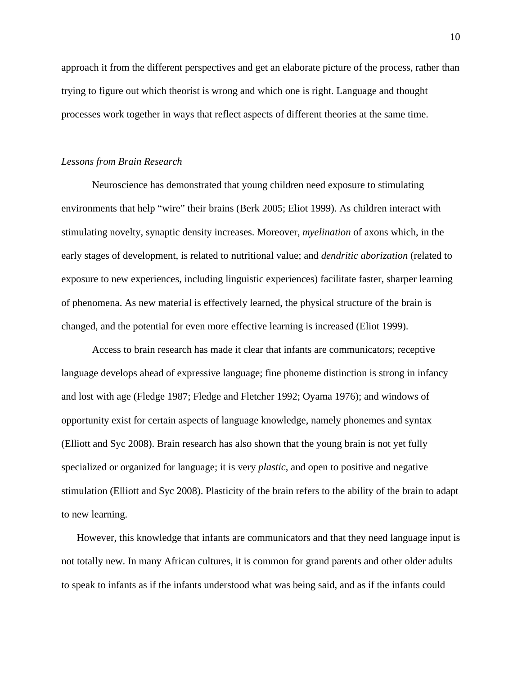approach it from the different perspectives and get an elaborate picture of the process, rather than trying to figure out which theorist is wrong and which one is right. Language and thought processes work together in ways that reflect aspects of different theories at the same time.

#### *Lessons from Brain Research*

Neuroscience has demonstrated that young children need exposure to stimulating environments that help "wire" their brains (Berk 2005; Eliot 1999). As children interact with stimulating novelty, synaptic density increases. Moreover, *myelination* of axons which, in the early stages of development, is related to nutritional value; and *dendritic aborization* (related to exposure to new experiences, including linguistic experiences) facilitate faster, sharper learning of phenomena. As new material is effectively learned, the physical structure of the brain is changed, and the potential for even more effective learning is increased (Eliot 1999).

Access to brain research has made it clear that infants are communicators; receptive language develops ahead of expressive language; fine phoneme distinction is strong in infancy and lost with age (Fledge 1987; Fledge and Fletcher 1992; Oyama 1976); and windows of opportunity exist for certain aspects of language knowledge, namely phonemes and syntax (Elliott and Syc 2008). Brain research has also shown that the young brain is not yet fully specialized or organized for language; it is very *plastic*, and open to positive and negative stimulation (Elliott and Syc 2008). Plasticity of the brain refers to the ability of the brain to adapt to new learning.

However, this knowledge that infants are communicators and that they need language input is not totally new. In many African cultures, it is common for grand parents and other older adults to speak to infants as if the infants understood what was being said, and as if the infants could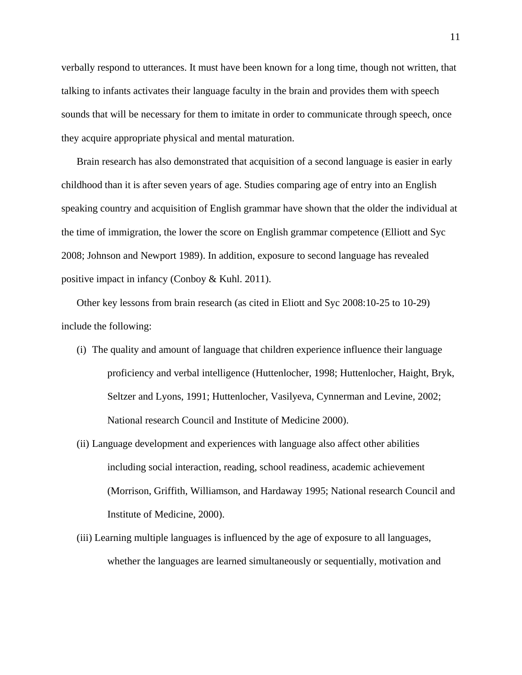verbally respond to utterances. It must have been known for a long time, though not written, that talking to infants activates their language faculty in the brain and provides them with speech sounds that will be necessary for them to imitate in order to communicate through speech, once they acquire appropriate physical and mental maturation.

Brain research has also demonstrated that acquisition of a second language is easier in early childhood than it is after seven years of age. Studies comparing age of entry into an English speaking country and acquisition of English grammar have shown that the older the individual at the time of immigration, the lower the score on English grammar competence (Elliott and Syc 2008; Johnson and Newport 1989). In addition, exposure to second language has revealed positive impact in infancy (Conboy & Kuhl. 2011).

Other key lessons from brain research (as cited in Eliott and Syc 2008:10-25 to 10-29) include the following:

- (i) The quality and amount of language that children experience influence their language proficiency and verbal intelligence (Huttenlocher, 1998; Huttenlocher, Haight, Bryk, Seltzer and Lyons, 1991; Huttenlocher, Vasilyeva, Cynnerman and Levine, 2002; National research Council and Institute of Medicine 2000).
- (ii) Language development and experiences with language also affect other abilities including social interaction, reading, school readiness, academic achievement (Morrison, Griffith, Williamson, and Hardaway 1995; National research Council and Institute of Medicine, 2000).
- (iii) Learning multiple languages is influenced by the age of exposure to all languages, whether the languages are learned simultaneously or sequentially, motivation and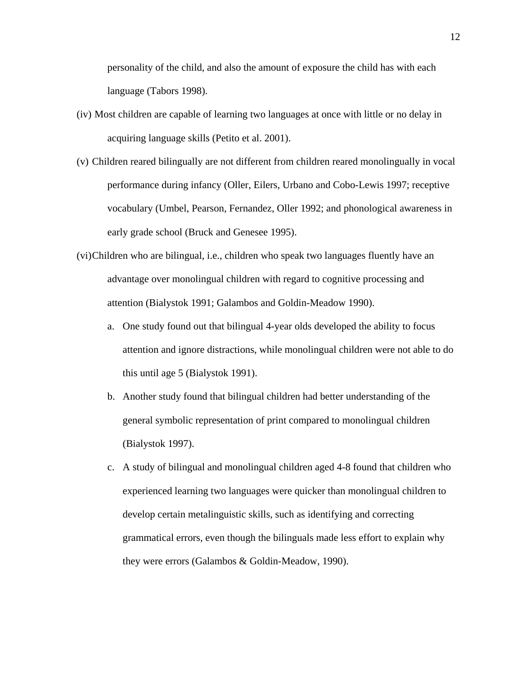personality of the child, and also the amount of exposure the child has with each language (Tabors 1998).

- (iv) Most children are capable of learning two languages at once with little or no delay in acquiring language skills (Petito et al. 2001).
- (v) Children reared bilingually are not different from children reared monolingually in vocal performance during infancy (Oller, Eilers, Urbano and Cobo-Lewis 1997; receptive vocabulary (Umbel, Pearson, Fernandez, Oller 1992; and phonological awareness in early grade school (Bruck and Genesee 1995).
- (vi)Children who are bilingual, i.e., children who speak two languages fluently have an advantage over monolingual children with regard to cognitive processing and attention (Bialystok 1991; Galambos and Goldin-Meadow 1990).
	- a. One study found out that bilingual 4-year olds developed the ability to focus attention and ignore distractions, while monolingual children were not able to do this until age 5 (Bialystok 1991).
	- b. Another study found that bilingual children had better understanding of the general symbolic representation of print compared to monolingual children (Bialystok 1997).
	- c. A study of bilingual and monolingual children aged 4-8 found that children who experienced learning two languages were quicker than monolingual children to develop certain metalinguistic skills, such as identifying and correcting grammatical errors, even though the bilinguals made less effort to explain why they were errors (Galambos & Goldin-Meadow, 1990).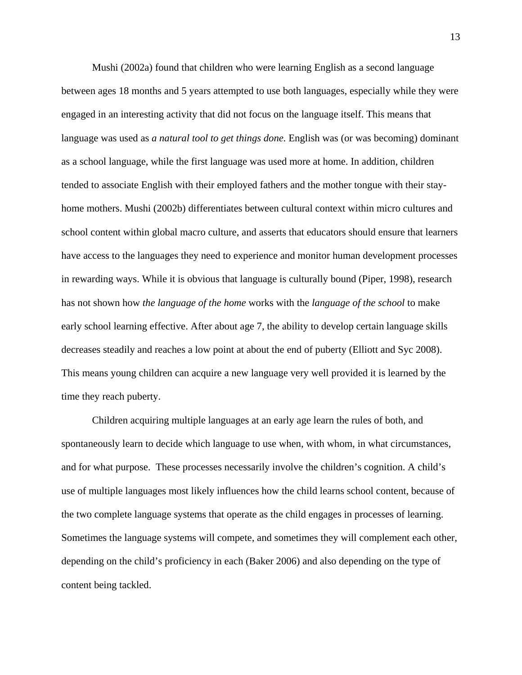Mushi (2002a) found that children who were learning English as a second language between ages 18 months and 5 years attempted to use both languages, especially while they were engaged in an interesting activity that did not focus on the language itself. This means that language was used as *a natural tool to get things done.* English was (or was becoming) dominant as a school language, while the first language was used more at home. In addition, children tended to associate English with their employed fathers and the mother tongue with their stayhome mothers. Mushi (2002b) differentiates between cultural context within micro cultures and school content within global macro culture, and asserts that educators should ensure that learners have access to the languages they need to experience and monitor human development processes in rewarding ways. While it is obvious that language is culturally bound (Piper, 1998), research has not shown how *the language of the home* works with the *language of the school* to make early school learning effective. After about age 7, the ability to develop certain language skills decreases steadily and reaches a low point at about the end of puberty (Elliott and Syc 2008). This means young children can acquire a new language very well provided it is learned by the time they reach puberty.

Children acquiring multiple languages at an early age learn the rules of both, and spontaneously learn to decide which language to use when, with whom, in what circumstances, and for what purpose. These processes necessarily involve the children's cognition. A child's use of multiple languages most likely influences how the child learns school content, because of the two complete language systems that operate as the child engages in processes of learning. Sometimes the language systems will compete, and sometimes they will complement each other, depending on the child's proficiency in each (Baker 2006) and also depending on the type of content being tackled.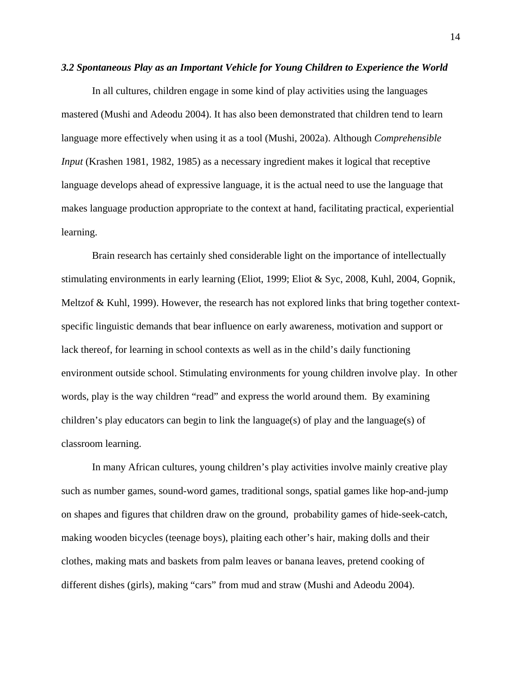#### *3.2 Spontaneous Play as an Important Vehicle for Young Children to Experience the World*

In all cultures, children engage in some kind of play activities using the languages mastered (Mushi and Adeodu 2004). It has also been demonstrated that children tend to learn language more effectively when using it as a tool (Mushi, 2002a). Although *Comprehensible Input* (Krashen 1981, 1982, 1985) as a necessary ingredient makes it logical that receptive language develops ahead of expressive language, it is the actual need to use the language that makes language production appropriate to the context at hand, facilitating practical, experiential learning.

Brain research has certainly shed considerable light on the importance of intellectually stimulating environments in early learning (Eliot, 1999; Eliot & Syc, 2008, Kuhl, 2004, Gopnik, Meltzof & Kuhl, 1999). However, the research has not explored links that bring together contextspecific linguistic demands that bear influence on early awareness, motivation and support or lack thereof, for learning in school contexts as well as in the child's daily functioning environment outside school. Stimulating environments for young children involve play. In other words, play is the way children "read" and express the world around them. By examining children's play educators can begin to link the language(s) of play and the language(s) of classroom learning.

In many African cultures, young children's play activities involve mainly creative play such as number games, sound-word games, traditional songs, spatial games like hop-and-jump on shapes and figures that children draw on the ground, probability games of hide-seek-catch, making wooden bicycles (teenage boys), plaiting each other's hair, making dolls and their clothes, making mats and baskets from palm leaves or banana leaves, pretend cooking of different dishes (girls), making "cars" from mud and straw (Mushi and Adeodu 2004).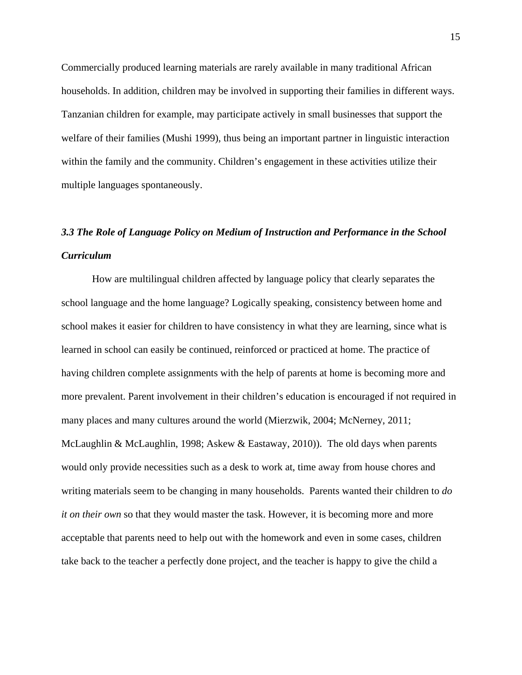Commercially produced learning materials are rarely available in many traditional African households. In addition, children may be involved in supporting their families in different ways. Tanzanian children for example, may participate actively in small businesses that support the welfare of their families (Mushi 1999), thus being an important partner in linguistic interaction within the family and the community. Children's engagement in these activities utilize their multiple languages spontaneously.

# *3.3 The Role of Language Policy on Medium of Instruction and Performance in the School Curriculum*

How are multilingual children affected by language policy that clearly separates the school language and the home language? Logically speaking, consistency between home and school makes it easier for children to have consistency in what they are learning, since what is learned in school can easily be continued, reinforced or practiced at home. The practice of having children complete assignments with the help of parents at home is becoming more and more prevalent. Parent involvement in their children's education is encouraged if not required in many places and many cultures around the world (Mierzwik, 2004; McNerney, 2011; McLaughlin & McLaughlin, 1998; Askew & Eastaway, 2010)). The old days when parents would only provide necessities such as a desk to work at, time away from house chores and writing materials seem to be changing in many households. Parents wanted their children to *do it on their own* so that they would master the task. However, it is becoming more and more acceptable that parents need to help out with the homework and even in some cases, children take back to the teacher a perfectly done project, and the teacher is happy to give the child a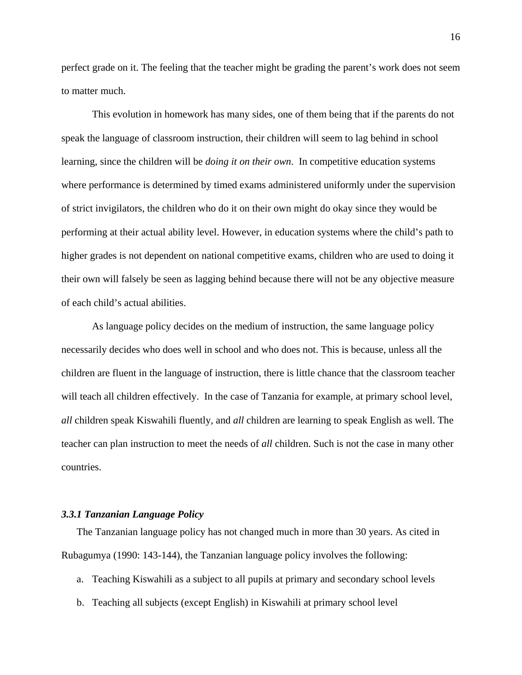perfect grade on it. The feeling that the teacher might be grading the parent's work does not seem to matter much.

This evolution in homework has many sides, one of them being that if the parents do not speak the language of classroom instruction, their children will seem to lag behind in school learning, since the children will be *doing it on their own*. In competitive education systems where performance is determined by timed exams administered uniformly under the supervision of strict invigilators, the children who do it on their own might do okay since they would be performing at their actual ability level. However, in education systems where the child's path to higher grades is not dependent on national competitive exams, children who are used to doing it their own will falsely be seen as lagging behind because there will not be any objective measure of each child's actual abilities.

As language policy decides on the medium of instruction, the same language policy necessarily decides who does well in school and who does not. This is because, unless all the children are fluent in the language of instruction, there is little chance that the classroom teacher will teach all children effectively. In the case of Tanzania for example, at primary school level, *all* children speak Kiswahili fluently, and *all* children are learning to speak English as well. The teacher can plan instruction to meet the needs of *all* children. Such is not the case in many other countries.

#### *3.3.1 Tanzanian Language Policy*

The Tanzanian language policy has not changed much in more than 30 years. As cited in Rubagumya (1990: 143-144), the Tanzanian language policy involves the following:

- a. Teaching Kiswahili as a subject to all pupils at primary and secondary school levels
- b. Teaching all subjects (except English) in Kiswahili at primary school level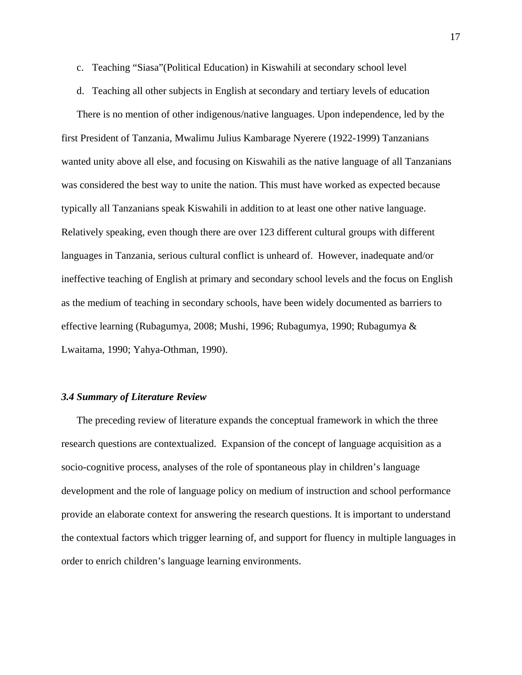- c. Teaching "Siasa"(Political Education) in Kiswahili at secondary school level
- d. Teaching all other subjects in English at secondary and tertiary levels of education

There is no mention of other indigenous/native languages. Upon independence, led by the first President of Tanzania, Mwalimu Julius Kambarage Nyerere (1922-1999) Tanzanians wanted unity above all else, and focusing on Kiswahili as the native language of all Tanzanians was considered the best way to unite the nation. This must have worked as expected because typically all Tanzanians speak Kiswahili in addition to at least one other native language. Relatively speaking, even though there are over 123 different cultural groups with different languages in Tanzania, serious cultural conflict is unheard of. However, inadequate and/or ineffective teaching of English at primary and secondary school levels and the focus on English as the medium of teaching in secondary schools, have been widely documented as barriers to effective learning (Rubagumya, 2008; Mushi, 1996; Rubagumya, 1990; Rubagumya & Lwaitama, 1990; Yahya-Othman, 1990).

#### *3.4 Summary of Literature Review*

The preceding review of literature expands the conceptual framework in which the three research questions are contextualized. Expansion of the concept of language acquisition as a socio-cognitive process, analyses of the role of spontaneous play in children's language development and the role of language policy on medium of instruction and school performance provide an elaborate context for answering the research questions. It is important to understand the contextual factors which trigger learning of, and support for fluency in multiple languages in order to enrich children's language learning environments.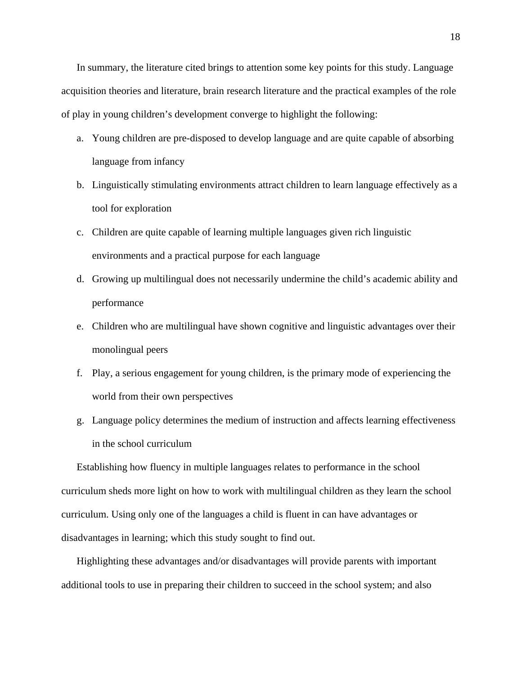In summary, the literature cited brings to attention some key points for this study. Language acquisition theories and literature, brain research literature and the practical examples of the role of play in young children's development converge to highlight the following:

- a. Young children are pre-disposed to develop language and are quite capable of absorbing language from infancy
- b. Linguistically stimulating environments attract children to learn language effectively as a tool for exploration
- c. Children are quite capable of learning multiple languages given rich linguistic environments and a practical purpose for each language
- d. Growing up multilingual does not necessarily undermine the child's academic ability and performance
- e. Children who are multilingual have shown cognitive and linguistic advantages over their monolingual peers
- f. Play, a serious engagement for young children, is the primary mode of experiencing the world from their own perspectives
- g. Language policy determines the medium of instruction and affects learning effectiveness in the school curriculum

Establishing how fluency in multiple languages relates to performance in the school curriculum sheds more light on how to work with multilingual children as they learn the school curriculum. Using only one of the languages a child is fluent in can have advantages or disadvantages in learning; which this study sought to find out.

Highlighting these advantages and/or disadvantages will provide parents with important additional tools to use in preparing their children to succeed in the school system; and also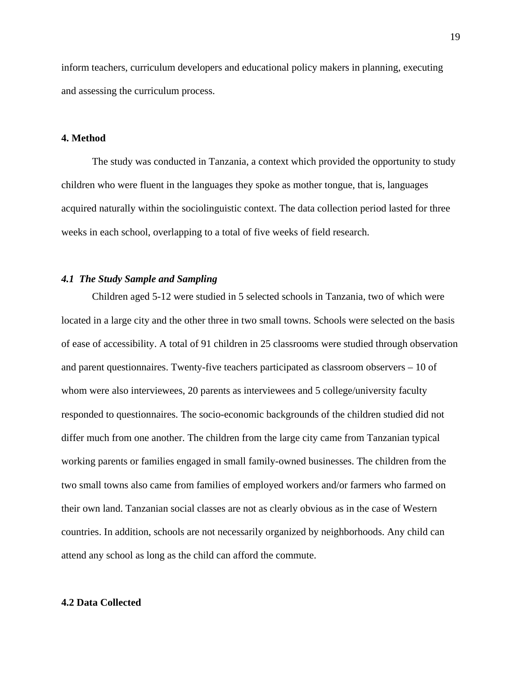inform teachers, curriculum developers and educational policy makers in planning, executing and assessing the curriculum process.

#### **4. Method**

The study was conducted in Tanzania, a context which provided the opportunity to study children who were fluent in the languages they spoke as mother tongue, that is, languages acquired naturally within the sociolinguistic context. The data collection period lasted for three weeks in each school, overlapping to a total of five weeks of field research.

## *4.1 The Study Sample and Sampling*

Children aged 5-12 were studied in 5 selected schools in Tanzania, two of which were located in a large city and the other three in two small towns. Schools were selected on the basis of ease of accessibility. A total of 91 children in 25 classrooms were studied through observation and parent questionnaires. Twenty-five teachers participated as classroom observers – 10 of whom were also interviewees, 20 parents as interviewees and 5 college/university faculty responded to questionnaires. The socio-economic backgrounds of the children studied did not differ much from one another. The children from the large city came from Tanzanian typical working parents or families engaged in small family-owned businesses. The children from the two small towns also came from families of employed workers and/or farmers who farmed on their own land. Tanzanian social classes are not as clearly obvious as in the case of Western countries. In addition, schools are not necessarily organized by neighborhoods. Any child can attend any school as long as the child can afford the commute.

#### **4.2 Data Collected**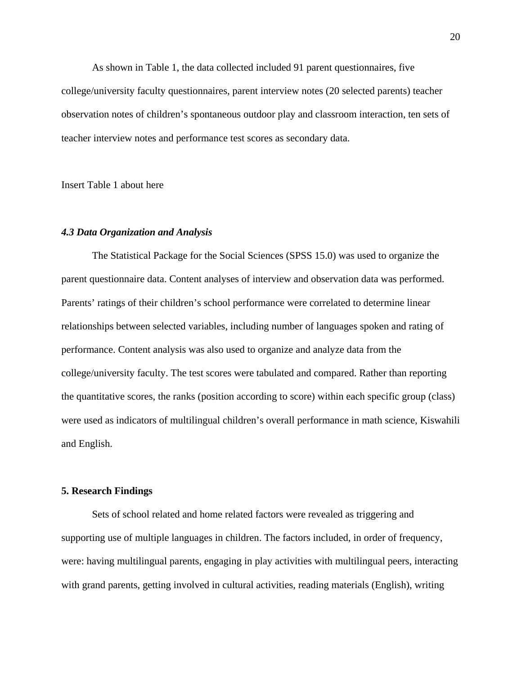As shown in Table 1, the data collected included 91 parent questionnaires, five college/university faculty questionnaires, parent interview notes (20 selected parents) teacher observation notes of children's spontaneous outdoor play and classroom interaction, ten sets of teacher interview notes and performance test scores as secondary data.

Insert Table 1 about here

#### *4.3 Data Organization and Analysis*

The Statistical Package for the Social Sciences (SPSS 15.0) was used to organize the parent questionnaire data. Content analyses of interview and observation data was performed. Parents' ratings of their children's school performance were correlated to determine linear relationships between selected variables, including number of languages spoken and rating of performance. Content analysis was also used to organize and analyze data from the college/university faculty. The test scores were tabulated and compared. Rather than reporting the quantitative scores, the ranks (position according to score) within each specific group (class) were used as indicators of multilingual children's overall performance in math science, Kiswahili and English.

#### **5. Research Findings**

Sets of school related and home related factors were revealed as triggering and supporting use of multiple languages in children. The factors included, in order of frequency, were: having multilingual parents, engaging in play activities with multilingual peers, interacting with grand parents, getting involved in cultural activities, reading materials (English), writing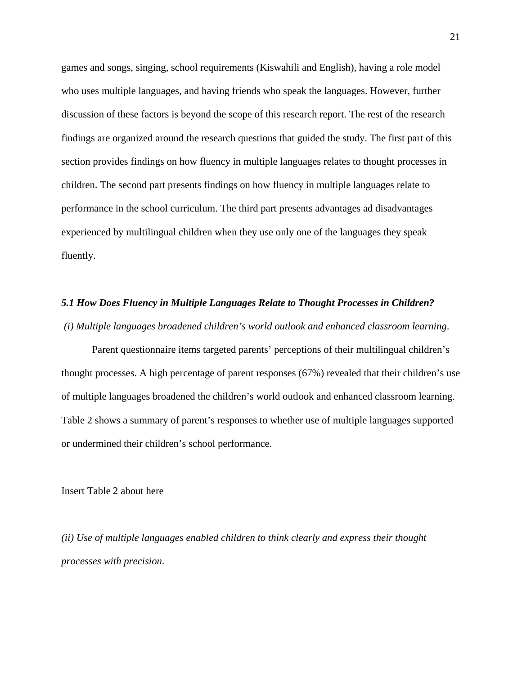games and songs, singing, school requirements (Kiswahili and English), having a role model who uses multiple languages, and having friends who speak the languages. However, further discussion of these factors is beyond the scope of this research report. The rest of the research findings are organized around the research questions that guided the study. The first part of this section provides findings on how fluency in multiple languages relates to thought processes in children. The second part presents findings on how fluency in multiple languages relate to performance in the school curriculum. The third part presents advantages ad disadvantages experienced by multilingual children when they use only one of the languages they speak fluently.

## *5.1 How Does Fluency in Multiple Languages Relate to Thought Processes in Children? (i) Multiple languages broadened children's world outlook and enhanced classroom learning*.

Parent questionnaire items targeted parents' perceptions of their multilingual children's thought processes. A high percentage of parent responses (67%) revealed that their children's use of multiple languages broadened the children's world outlook and enhanced classroom learning. Table 2 shows a summary of parent's responses to whether use of multiple languages supported or undermined their children's school performance.

Insert Table 2 about here

*(ii) Use of multiple languages enabled children to think clearly and express their thought processes with precision*.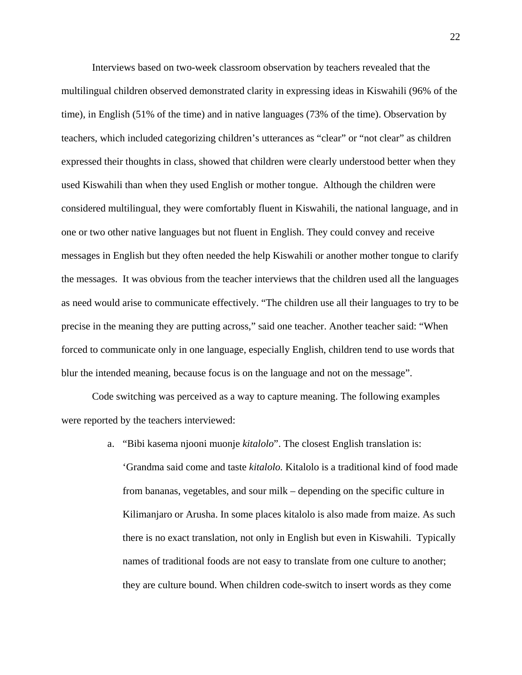Interviews based on two-week classroom observation by teachers revealed that the multilingual children observed demonstrated clarity in expressing ideas in Kiswahili (96% of the time), in English (51% of the time) and in native languages (73% of the time). Observation by teachers, which included categorizing children's utterances as "clear" or "not clear" as children expressed their thoughts in class, showed that children were clearly understood better when they used Kiswahili than when they used English or mother tongue. Although the children were considered multilingual, they were comfortably fluent in Kiswahili, the national language, and in one or two other native languages but not fluent in English. They could convey and receive messages in English but they often needed the help Kiswahili or another mother tongue to clarify the messages. It was obvious from the teacher interviews that the children used all the languages as need would arise to communicate effectively. "The children use all their languages to try to be precise in the meaning they are putting across," said one teacher. Another teacher said: "When forced to communicate only in one language, especially English, children tend to use words that blur the intended meaning, because focus is on the language and not on the message".

Code switching was perceived as a way to capture meaning. The following examples were reported by the teachers interviewed:

> a. "Bibi kasema njooni muonje *kitalolo*". The closest English translation is: 'Grandma said come and taste *kitalolo.* Kitalolo is a traditional kind of food made from bananas, vegetables, and sour milk – depending on the specific culture in Kilimanjaro or Arusha. In some places kitalolo is also made from maize. As such there is no exact translation, not only in English but even in Kiswahili. Typically names of traditional foods are not easy to translate from one culture to another; they are culture bound. When children code-switch to insert words as they come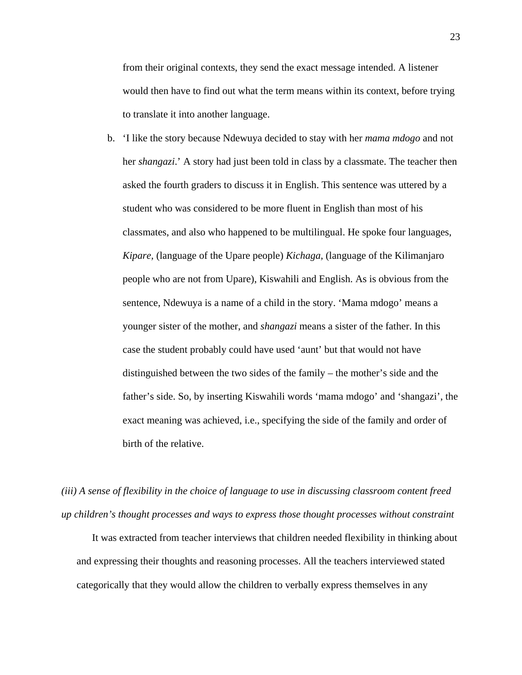from their original contexts, they send the exact message intended. A listener would then have to find out what the term means within its context, before trying to translate it into another language.

b. 'I like the story because Ndewuya decided to stay with her *mama mdogo* and not her *shangazi*.' A story had just been told in class by a classmate. The teacher then asked the fourth graders to discuss it in English. This sentence was uttered by a student who was considered to be more fluent in English than most of his classmates, and also who happened to be multilingual. He spoke four languages, *Kipare,* (language of the Upare people) *Kichaga,* (language of the Kilimanjaro people who are not from Upare), Kiswahili and English. As is obvious from the sentence, Ndewuya is a name of a child in the story. 'Mama mdogo' means a younger sister of the mother, and *shangazi* means a sister of the father. In this case the student probably could have used 'aunt' but that would not have distinguished between the two sides of the family – the mother's side and the father's side. So, by inserting Kiswahili words 'mama mdogo' and 'shangazi', the exact meaning was achieved, i.e., specifying the side of the family and order of birth of the relative.

*(iii) A sense of flexibility in the choice of language to use in discussing classroom content freed up children's thought processes and ways to express those thought processes without constraint*

It was extracted from teacher interviews that children needed flexibility in thinking about and expressing their thoughts and reasoning processes. All the teachers interviewed stated categorically that they would allow the children to verbally express themselves in any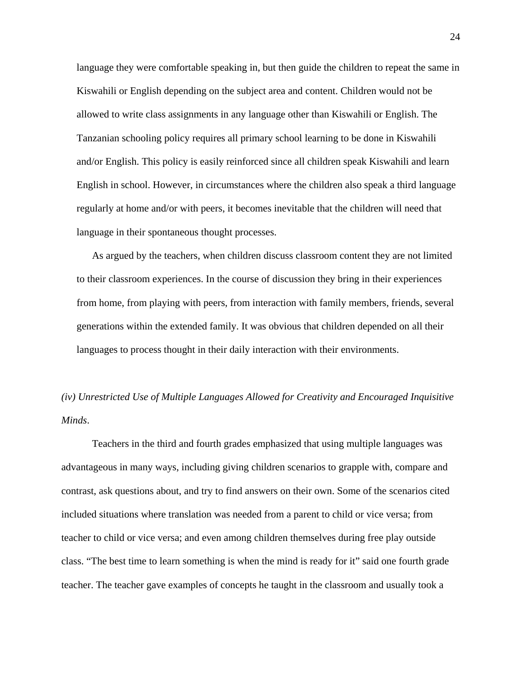language they were comfortable speaking in, but then guide the children to repeat the same in Kiswahili or English depending on the subject area and content. Children would not be allowed to write class assignments in any language other than Kiswahili or English. The Tanzanian schooling policy requires all primary school learning to be done in Kiswahili and/or English. This policy is easily reinforced since all children speak Kiswahili and learn English in school. However, in circumstances where the children also speak a third language regularly at home and/or with peers, it becomes inevitable that the children will need that language in their spontaneous thought processes.

As argued by the teachers, when children discuss classroom content they are not limited to their classroom experiences. In the course of discussion they bring in their experiences from home, from playing with peers, from interaction with family members, friends, several generations within the extended family. It was obvious that children depended on all their languages to process thought in their daily interaction with their environments.

# *(iv) Unrestricted Use of Multiple Languages Allowed for Creativity and Encouraged Inquisitive Minds*.

Teachers in the third and fourth grades emphasized that using multiple languages was advantageous in many ways, including giving children scenarios to grapple with, compare and contrast, ask questions about, and try to find answers on their own. Some of the scenarios cited included situations where translation was needed from a parent to child or vice versa; from teacher to child or vice versa; and even among children themselves during free play outside class. "The best time to learn something is when the mind is ready for it" said one fourth grade teacher. The teacher gave examples of concepts he taught in the classroom and usually took a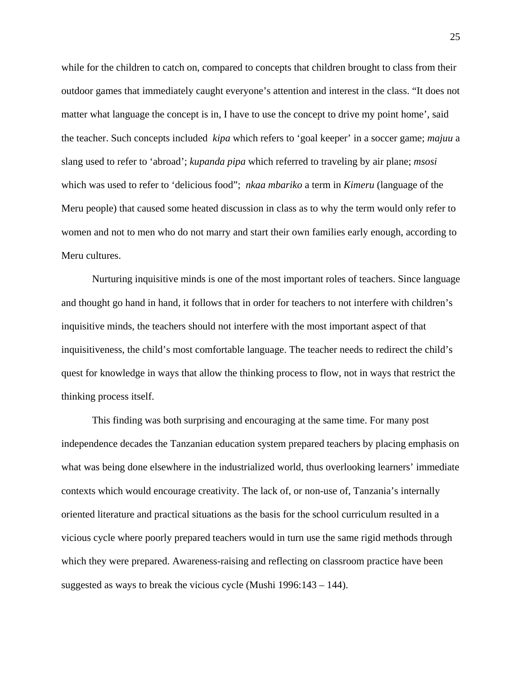while for the children to catch on, compared to concepts that children brought to class from their outdoor games that immediately caught everyone's attention and interest in the class. "It does not matter what language the concept is in, I have to use the concept to drive my point home', said the teacher. Such concepts included *kipa* which refers to 'goal keeper' in a soccer game; *majuu* a slang used to refer to 'abroad'; *kupanda pipa* which referred to traveling by air plane; *msosi* which was used to refer to 'delicious food"; *nkaa mbariko* a term in *Kimeru* (language of the Meru people) that caused some heated discussion in class as to why the term would only refer to women and not to men who do not marry and start their own families early enough, according to Meru cultures.

Nurturing inquisitive minds is one of the most important roles of teachers. Since language and thought go hand in hand, it follows that in order for teachers to not interfere with children's inquisitive minds, the teachers should not interfere with the most important aspect of that inquisitiveness, the child's most comfortable language. The teacher needs to redirect the child's quest for knowledge in ways that allow the thinking process to flow, not in ways that restrict the thinking process itself.

This finding was both surprising and encouraging at the same time. For many post independence decades the Tanzanian education system prepared teachers by placing emphasis on what was being done elsewhere in the industrialized world, thus overlooking learners' immediate contexts which would encourage creativity. The lack of, or non-use of, Tanzania's internally oriented literature and practical situations as the basis for the school curriculum resulted in a vicious cycle where poorly prepared teachers would in turn use the same rigid methods through which they were prepared. Awareness-raising and reflecting on classroom practice have been suggested as ways to break the vicious cycle (Mushi 1996:143 – 144).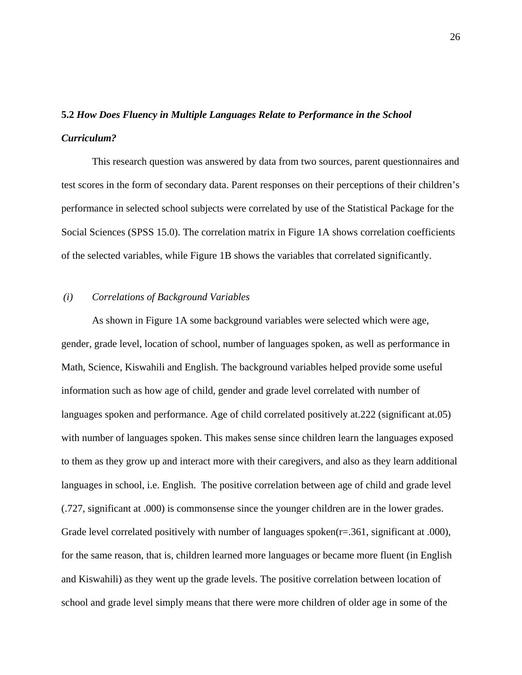# **5.2** *How Does Fluency in Multiple Languages Relate to Performance in the School Curriculum?*

This research question was answered by data from two sources, parent questionnaires and test scores in the form of secondary data. Parent responses on their perceptions of their children's performance in selected school subjects were correlated by use of the Statistical Package for the Social Sciences (SPSS 15.0). The correlation matrix in Figure 1A shows correlation coefficients of the selected variables, while Figure 1B shows the variables that correlated significantly.

## *(i) Correlations of Background Variables*

As shown in Figure 1A some background variables were selected which were age, gender, grade level, location of school, number of languages spoken, as well as performance in Math, Science, Kiswahili and English. The background variables helped provide some useful information such as how age of child, gender and grade level correlated with number of languages spoken and performance. Age of child correlated positively at.222 (significant at.05) with number of languages spoken. This makes sense since children learn the languages exposed to them as they grow up and interact more with their caregivers, and also as they learn additional languages in school, i.e. English. The positive correlation between age of child and grade level (.727, significant at .000) is commonsense since the younger children are in the lower grades. Grade level correlated positively with number of languages spoken( $r = .361$ , significant at .000), for the same reason, that is, children learned more languages or became more fluent (in English and Kiswahili) as they went up the grade levels. The positive correlation between location of school and grade level simply means that there were more children of older age in some of the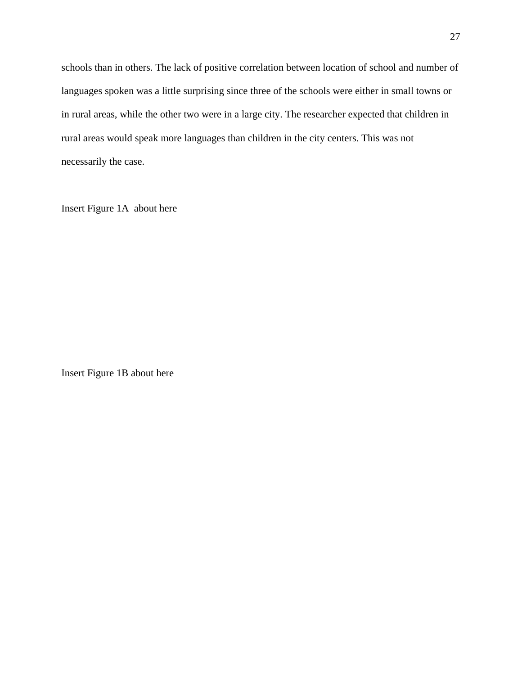schools than in others. The lack of positive correlation between location of school and number of languages spoken was a little surprising since three of the schools were either in small towns or in rural areas, while the other two were in a large city. The researcher expected that children in rural areas would speak more languages than children in the city centers. This was not necessarily the case.

Insert Figure 1A about here

Insert Figure 1B about here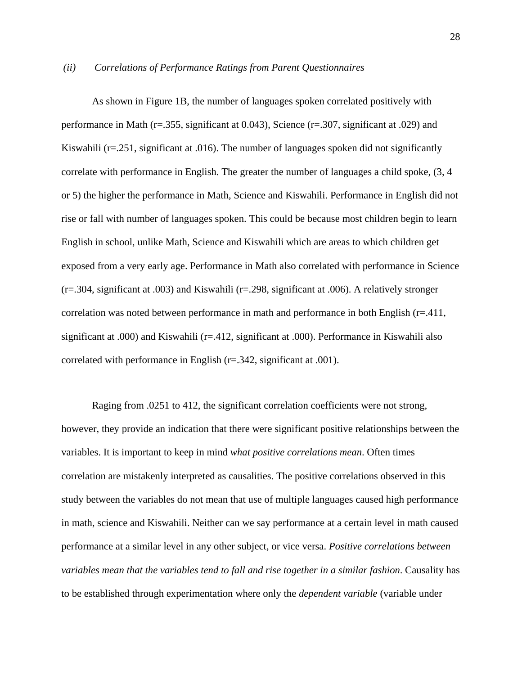#### *(ii) Correlations of Performance Ratings from Parent Questionnaires*

As shown in Figure 1B, the number of languages spoken correlated positively with performance in Math (r=.355, significant at 0.043), Science (r=.307, significant at .029) and Kiswahili ( $r=251$ , significant at .016). The number of languages spoken did not significantly correlate with performance in English. The greater the number of languages a child spoke, (3, 4 or 5) the higher the performance in Math, Science and Kiswahili. Performance in English did not rise or fall with number of languages spoken. This could be because most children begin to learn English in school, unlike Math, Science and Kiswahili which are areas to which children get exposed from a very early age. Performance in Math also correlated with performance in Science (r=.304, significant at .003) and Kiswahili (r=.298, significant at .006). A relatively stronger correlation was noted between performance in math and performance in both English (r=.411, significant at .000) and Kiswahili (r=.412, significant at .000). Performance in Kiswahili also correlated with performance in English (r=.342, significant at .001).

Raging from .0251 to 412, the significant correlation coefficients were not strong, however, they provide an indication that there were significant positive relationships between the variables. It is important to keep in mind *what positive correlations mean*. Often times correlation are mistakenly interpreted as causalities. The positive correlations observed in this study between the variables do not mean that use of multiple languages caused high performance in math, science and Kiswahili. Neither can we say performance at a certain level in math caused performance at a similar level in any other subject, or vice versa. *Positive correlations between variables mean that the variables tend to fall and rise together in a similar fashion*. Causality has to be established through experimentation where only the *dependent variable* (variable under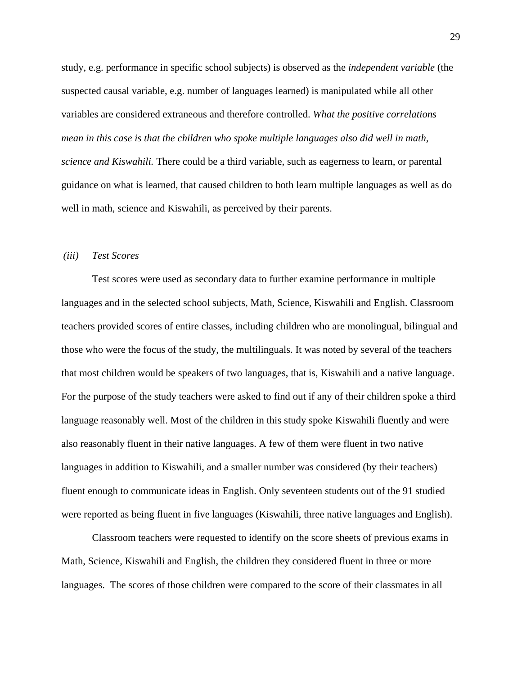study, e.g. performance in specific school subjects) is observed as the *independent variable* (the suspected causal variable, e.g. number of languages learned) is manipulated while all other variables are considered extraneous and therefore controlled. *What the positive correlations mean in this case is that the children who spoke multiple languages also did well in math, science and Kiswahili.* There could be a third variable, such as eagerness to learn, or parental guidance on what is learned, that caused children to both learn multiple languages as well as do well in math, science and Kiswahili, as perceived by their parents.

#### *(iii) Test Scores*

Test scores were used as secondary data to further examine performance in multiple languages and in the selected school subjects, Math, Science, Kiswahili and English. Classroom teachers provided scores of entire classes, including children who are monolingual, bilingual and those who were the focus of the study, the multilinguals. It was noted by several of the teachers that most children would be speakers of two languages, that is, Kiswahili and a native language. For the purpose of the study teachers were asked to find out if any of their children spoke a third language reasonably well. Most of the children in this study spoke Kiswahili fluently and were also reasonably fluent in their native languages. A few of them were fluent in two native languages in addition to Kiswahili, and a smaller number was considered (by their teachers) fluent enough to communicate ideas in English. Only seventeen students out of the 91 studied were reported as being fluent in five languages (Kiswahili, three native languages and English).

Classroom teachers were requested to identify on the score sheets of previous exams in Math, Science, Kiswahili and English, the children they considered fluent in three or more languages. The scores of those children were compared to the score of their classmates in all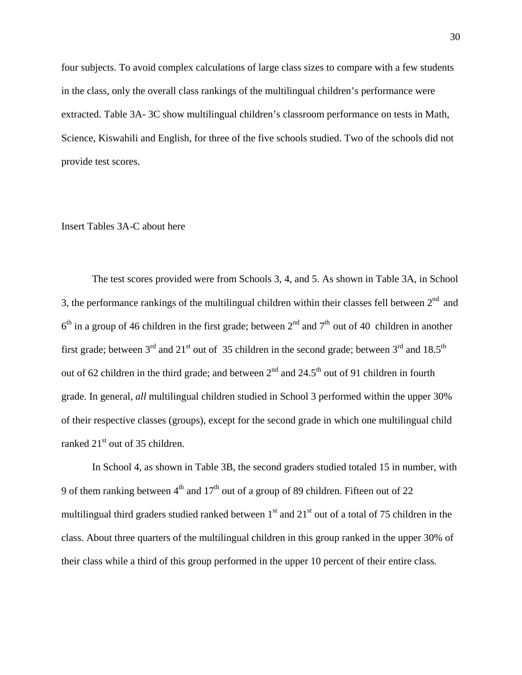four subjects. To avoid complex calculations of large class sizes to compare with a few students in the class, only the overall class rankings of the multilingual children's performance were extracted. Table 3A- 3C show multilingual children's classroom performance on tests in Math, Science, Kiswahili and English, for three of the five schools studied. Two of the schools did not provide test scores.

## Insert Tables 3A-C about here

The test scores provided were from Schools 3, 4, and 5. As shown in Table 3A, in School 3, the performance rankings of the multilingual children within their classes fell between  $2<sup>nd</sup>$  and  $6<sup>th</sup>$  in a group of 46 children in the first grade; between  $2<sup>nd</sup>$  and  $7<sup>th</sup>$  out of 40 children in another first grade; between  $3<sup>rd</sup>$  and  $21<sup>st</sup>$  out of 35 children in the second grade; between  $3<sup>rd</sup>$  and  $18.5<sup>th</sup>$ out of 62 children in the third grade; and between  $2<sup>nd</sup>$  and  $24.5<sup>th</sup>$  out of 91 children in fourth grade. In general, *all* multilingual children studied in School 3 performed within the upper 30% of their respective classes (groups), except for the second grade in which one multilingual child ranked  $21<sup>st</sup>$  out of 35 children.

In School 4, as shown in Table 3B, the second graders studied totaled 15 in number, with 9 of them ranking between  $4<sup>th</sup>$  and  $17<sup>th</sup>$  out of a group of 89 children. Fifteen out of 22 multilingual third graders studied ranked between  $1<sup>st</sup>$  and  $21<sup>st</sup>$  out of a total of 75 children in the class. About three quarters of the multilingual children in this group ranked in the upper 30% of their class while a third of this group performed in the upper 10 percent of their entire class.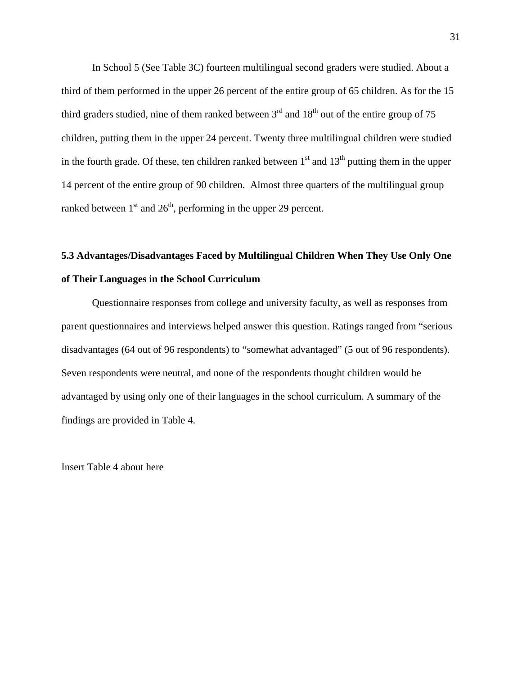In School 5 (See Table 3C) fourteen multilingual second graders were studied. About a third of them performed in the upper 26 percent of the entire group of 65 children. As for the 15 third graders studied, nine of them ranked between  $3<sup>rd</sup>$  and  $18<sup>th</sup>$  out of the entire group of 75 children, putting them in the upper 24 percent. Twenty three multilingual children were studied in the fourth grade. Of these, ten children ranked between  $1<sup>st</sup>$  and  $13<sup>th</sup>$  putting them in the upper 14 percent of the entire group of 90 children. Almost three quarters of the multilingual group ranked between  $1<sup>st</sup>$  and  $26<sup>th</sup>$ , performing in the upper 29 percent.

## **5.3 Advantages/Disadvantages Faced by Multilingual Children When They Use Only One of Their Languages in the School Curriculum**

Questionnaire responses from college and university faculty, as well as responses from parent questionnaires and interviews helped answer this question. Ratings ranged from "serious disadvantages (64 out of 96 respondents) to "somewhat advantaged" (5 out of 96 respondents). Seven respondents were neutral, and none of the respondents thought children would be advantaged by using only one of their languages in the school curriculum. A summary of the findings are provided in Table 4.

Insert Table 4 about here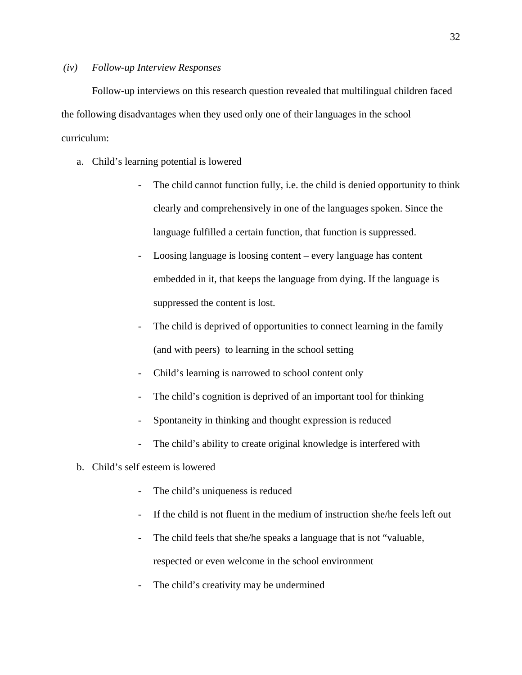#### *(iv) Follow-up Interview Responses*

Follow-up interviews on this research question revealed that multilingual children faced the following disadvantages when they used only one of their languages in the school curriculum:

- a. Child's learning potential is lowered
	- The child cannot function fully, i.e. the child is denied opportunity to think clearly and comprehensively in one of the languages spoken. Since the language fulfilled a certain function, that function is suppressed.
	- Loosing language is loosing content every language has content embedded in it, that keeps the language from dying. If the language is suppressed the content is lost.
	- The child is deprived of opportunities to connect learning in the family (and with peers) to learning in the school setting
	- Child's learning is narrowed to school content only
	- The child's cognition is deprived of an important tool for thinking
	- Spontaneity in thinking and thought expression is reduced
	- The child's ability to create original knowledge is interfered with
- b. Child's self esteem is lowered
	- The child's uniqueness is reduced
	- If the child is not fluent in the medium of instruction she/he feels left out
	- The child feels that she/he speaks a language that is not "valuable, respected or even welcome in the school environment
	- The child's creativity may be undermined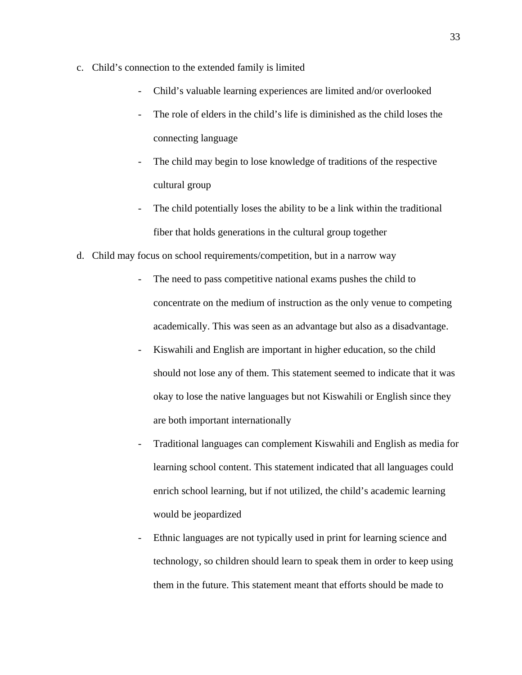- c. Child's connection to the extended family is limited
	- Child's valuable learning experiences are limited and/or overlooked
	- The role of elders in the child's life is diminished as the child loses the connecting language
	- The child may begin to lose knowledge of traditions of the respective cultural group
	- The child potentially loses the ability to be a link within the traditional fiber that holds generations in the cultural group together
- d. Child may focus on school requirements/competition, but in a narrow way
	- The need to pass competitive national exams pushes the child to concentrate on the medium of instruction as the only venue to competing academically. This was seen as an advantage but also as a disadvantage.
	- Kiswahili and English are important in higher education, so the child should not lose any of them. This statement seemed to indicate that it was okay to lose the native languages but not Kiswahili or English since they are both important internationally
	- Traditional languages can complement Kiswahili and English as media for learning school content. This statement indicated that all languages could enrich school learning, but if not utilized, the child's academic learning would be jeopardized
	- Ethnic languages are not typically used in print for learning science and technology, so children should learn to speak them in order to keep using them in the future. This statement meant that efforts should be made to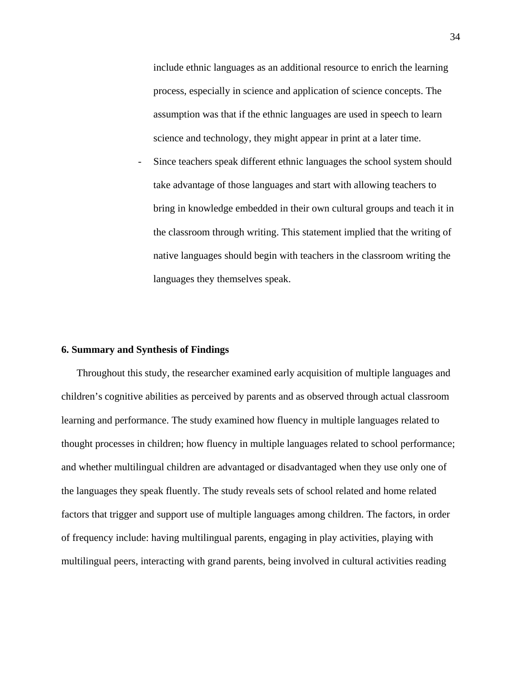include ethnic languages as an additional resource to enrich the learning process, especially in science and application of science concepts. The assumption was that if the ethnic languages are used in speech to learn science and technology, they might appear in print at a later time.

Since teachers speak different ethnic languages the school system should take advantage of those languages and start with allowing teachers to bring in knowledge embedded in their own cultural groups and teach it in the classroom through writing. This statement implied that the writing of native languages should begin with teachers in the classroom writing the languages they themselves speak.

### **6. Summary and Synthesis of Findings**

Throughout this study, the researcher examined early acquisition of multiple languages and children's cognitive abilities as perceived by parents and as observed through actual classroom learning and performance. The study examined how fluency in multiple languages related to thought processes in children; how fluency in multiple languages related to school performance; and whether multilingual children are advantaged or disadvantaged when they use only one of the languages they speak fluently. The study reveals sets of school related and home related factors that trigger and support use of multiple languages among children. The factors, in order of frequency include: having multilingual parents, engaging in play activities, playing with multilingual peers, interacting with grand parents, being involved in cultural activities reading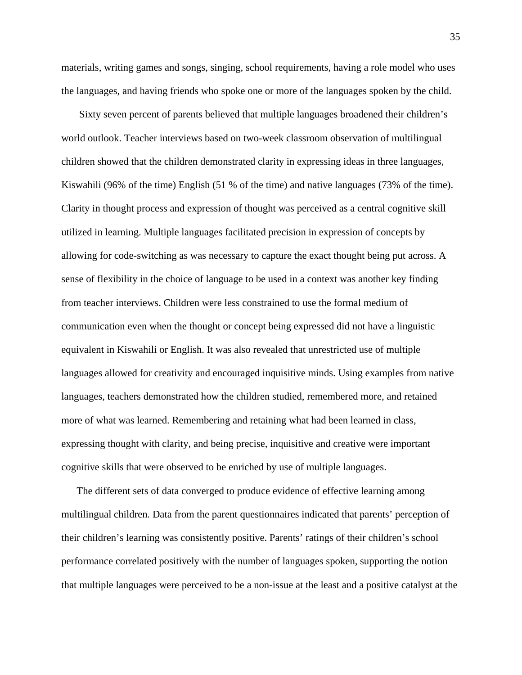materials, writing games and songs, singing, school requirements, having a role model who uses the languages, and having friends who spoke one or more of the languages spoken by the child.

Sixty seven percent of parents believed that multiple languages broadened their children's world outlook. Teacher interviews based on two-week classroom observation of multilingual children showed that the children demonstrated clarity in expressing ideas in three languages, Kiswahili (96% of the time) English (51 % of the time) and native languages (73% of the time). Clarity in thought process and expression of thought was perceived as a central cognitive skill utilized in learning. Multiple languages facilitated precision in expression of concepts by allowing for code-switching as was necessary to capture the exact thought being put across. A sense of flexibility in the choice of language to be used in a context was another key finding from teacher interviews. Children were less constrained to use the formal medium of communication even when the thought or concept being expressed did not have a linguistic equivalent in Kiswahili or English. It was also revealed that unrestricted use of multiple languages allowed for creativity and encouraged inquisitive minds. Using examples from native languages, teachers demonstrated how the children studied, remembered more, and retained more of what was learned. Remembering and retaining what had been learned in class, expressing thought with clarity, and being precise, inquisitive and creative were important cognitive skills that were observed to be enriched by use of multiple languages.

The different sets of data converged to produce evidence of effective learning among multilingual children. Data from the parent questionnaires indicated that parents' perception of their children's learning was consistently positive. Parents' ratings of their children's school performance correlated positively with the number of languages spoken, supporting the notion that multiple languages were perceived to be a non-issue at the least and a positive catalyst at the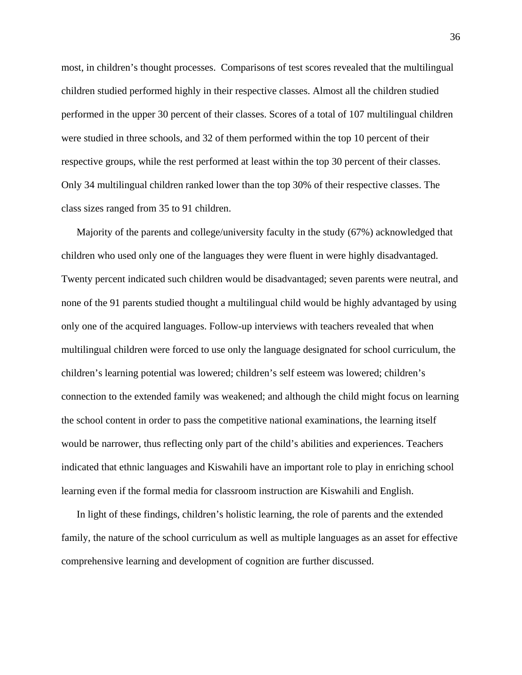most, in children's thought processes. Comparisons of test scores revealed that the multilingual children studied performed highly in their respective classes. Almost all the children studied performed in the upper 30 percent of their classes. Scores of a total of 107 multilingual children were studied in three schools, and 32 of them performed within the top 10 percent of their respective groups, while the rest performed at least within the top 30 percent of their classes. Only 34 multilingual children ranked lower than the top 30% of their respective classes. The class sizes ranged from 35 to 91 children.

Majority of the parents and college/university faculty in the study (67%) acknowledged that children who used only one of the languages they were fluent in were highly disadvantaged. Twenty percent indicated such children would be disadvantaged; seven parents were neutral, and none of the 91 parents studied thought a multilingual child would be highly advantaged by using only one of the acquired languages. Follow-up interviews with teachers revealed that when multilingual children were forced to use only the language designated for school curriculum, the children's learning potential was lowered; children's self esteem was lowered; children's connection to the extended family was weakened; and although the child might focus on learning the school content in order to pass the competitive national examinations, the learning itself would be narrower, thus reflecting only part of the child's abilities and experiences. Teachers indicated that ethnic languages and Kiswahili have an important role to play in enriching school learning even if the formal media for classroom instruction are Kiswahili and English.

In light of these findings, children's holistic learning, the role of parents and the extended family, the nature of the school curriculum as well as multiple languages as an asset for effective comprehensive learning and development of cognition are further discussed.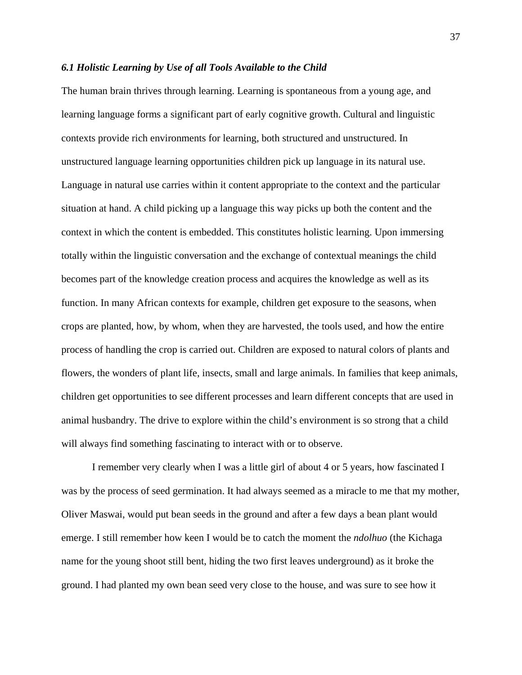#### *6.1 Holistic Learning by Use of all Tools Available to the Child*

The human brain thrives through learning. Learning is spontaneous from a young age, and learning language forms a significant part of early cognitive growth. Cultural and linguistic contexts provide rich environments for learning, both structured and unstructured. In unstructured language learning opportunities children pick up language in its natural use. Language in natural use carries within it content appropriate to the context and the particular situation at hand. A child picking up a language this way picks up both the content and the context in which the content is embedded. This constitutes holistic learning. Upon immersing totally within the linguistic conversation and the exchange of contextual meanings the child becomes part of the knowledge creation process and acquires the knowledge as well as its function. In many African contexts for example, children get exposure to the seasons, when crops are planted, how, by whom, when they are harvested, the tools used, and how the entire process of handling the crop is carried out. Children are exposed to natural colors of plants and flowers, the wonders of plant life, insects, small and large animals. In families that keep animals, children get opportunities to see different processes and learn different concepts that are used in animal husbandry. The drive to explore within the child's environment is so strong that a child will always find something fascinating to interact with or to observe.

I remember very clearly when I was a little girl of about 4 or 5 years, how fascinated I was by the process of seed germination. It had always seemed as a miracle to me that my mother, Oliver Maswai, would put bean seeds in the ground and after a few days a bean plant would emerge. I still remember how keen I would be to catch the moment the *ndolhuo* (the Kichaga name for the young shoot still bent, hiding the two first leaves underground) as it broke the ground. I had planted my own bean seed very close to the house, and was sure to see how it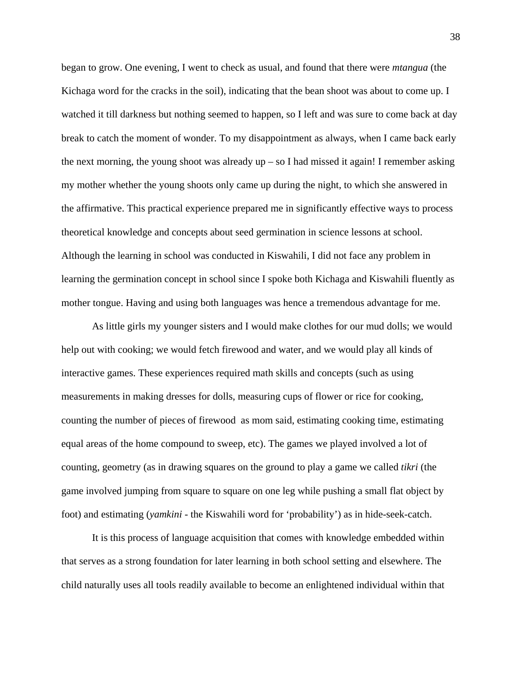began to grow. One evening, I went to check as usual, and found that there were *mtangua* (the Kichaga word for the cracks in the soil), indicating that the bean shoot was about to come up. I watched it till darkness but nothing seemed to happen, so I left and was sure to come back at day break to catch the moment of wonder. To my disappointment as always, when I came back early the next morning, the young shoot was already  $up - so I$  had missed it again! I remember asking my mother whether the young shoots only came up during the night, to which she answered in the affirmative. This practical experience prepared me in significantly effective ways to process theoretical knowledge and concepts about seed germination in science lessons at school. Although the learning in school was conducted in Kiswahili, I did not face any problem in learning the germination concept in school since I spoke both Kichaga and Kiswahili fluently as mother tongue. Having and using both languages was hence a tremendous advantage for me.

As little girls my younger sisters and I would make clothes for our mud dolls; we would help out with cooking; we would fetch firewood and water, and we would play all kinds of interactive games. These experiences required math skills and concepts (such as using measurements in making dresses for dolls, measuring cups of flower or rice for cooking, counting the number of pieces of firewood as mom said, estimating cooking time, estimating equal areas of the home compound to sweep, etc). The games we played involved a lot of counting, geometry (as in drawing squares on the ground to play a game we called *tikri* (the game involved jumping from square to square on one leg while pushing a small flat object by foot) and estimating (*yamkini* - the Kiswahili word for 'probability') as in hide-seek-catch.

It is this process of language acquisition that comes with knowledge embedded within that serves as a strong foundation for later learning in both school setting and elsewhere. The child naturally uses all tools readily available to become an enlightened individual within that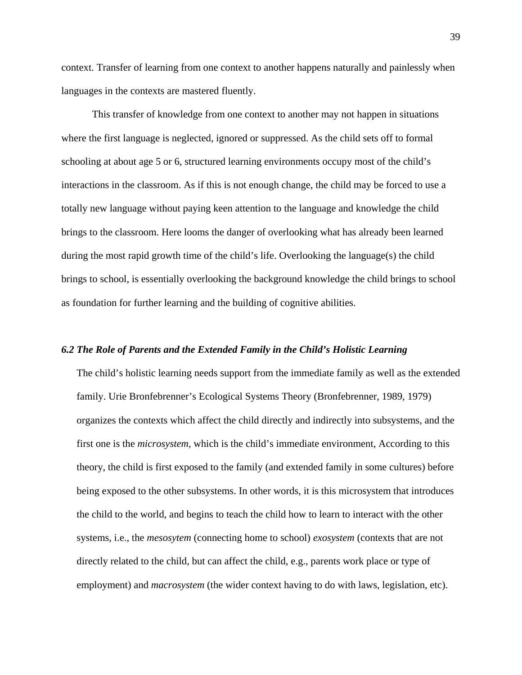context. Transfer of learning from one context to another happens naturally and painlessly when languages in the contexts are mastered fluently.

This transfer of knowledge from one context to another may not happen in situations where the first language is neglected, ignored or suppressed. As the child sets off to formal schooling at about age 5 or 6, structured learning environments occupy most of the child's interactions in the classroom. As if this is not enough change, the child may be forced to use a totally new language without paying keen attention to the language and knowledge the child brings to the classroom. Here looms the danger of overlooking what has already been learned during the most rapid growth time of the child's life. Overlooking the language(s) the child brings to school, is essentially overlooking the background knowledge the child brings to school as foundation for further learning and the building of cognitive abilities.

### *6.2 The Role of Parents and the Extended Family in the Child's Holistic Learning*

The child's holistic learning needs support from the immediate family as well as the extended family. Urie Bronfebrenner's Ecological Systems Theory (Bronfebrenner, 1989, 1979) organizes the contexts which affect the child directly and indirectly into subsystems, and the first one is the *microsystem*, which is the child's immediate environment, According to this theory, the child is first exposed to the family (and extended family in some cultures) before being exposed to the other subsystems. In other words, it is this microsystem that introduces the child to the world, and begins to teach the child how to learn to interact with the other systems, i.e., the *mesosytem* (connecting home to school) *exosystem* (contexts that are not directly related to the child, but can affect the child, e.g., parents work place or type of employment) and *macrosystem* (the wider context having to do with laws, legislation, etc).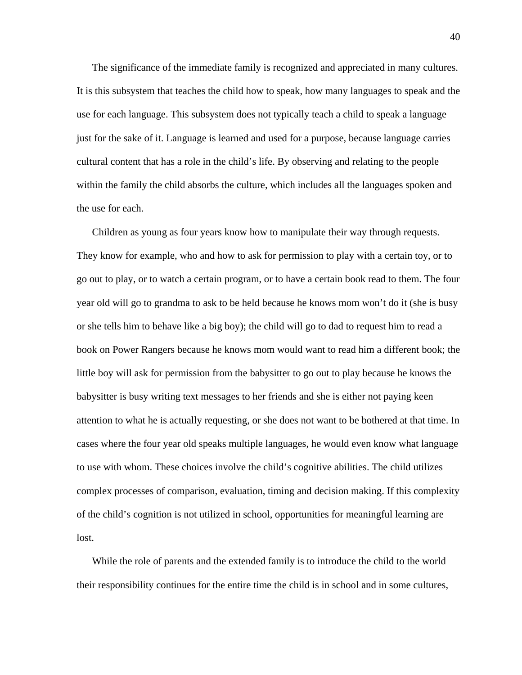The significance of the immediate family is recognized and appreciated in many cultures. It is this subsystem that teaches the child how to speak, how many languages to speak and the use for each language. This subsystem does not typically teach a child to speak a language just for the sake of it. Language is learned and used for a purpose, because language carries cultural content that has a role in the child's life. By observing and relating to the people within the family the child absorbs the culture, which includes all the languages spoken and the use for each.

Children as young as four years know how to manipulate their way through requests. They know for example, who and how to ask for permission to play with a certain toy, or to go out to play, or to watch a certain program, or to have a certain book read to them. The four year old will go to grandma to ask to be held because he knows mom won't do it (she is busy or she tells him to behave like a big boy); the child will go to dad to request him to read a book on Power Rangers because he knows mom would want to read him a different book; the little boy will ask for permission from the babysitter to go out to play because he knows the babysitter is busy writing text messages to her friends and she is either not paying keen attention to what he is actually requesting, or she does not want to be bothered at that time. In cases where the four year old speaks multiple languages, he would even know what language to use with whom. These choices involve the child's cognitive abilities. The child utilizes complex processes of comparison, evaluation, timing and decision making. If this complexity of the child's cognition is not utilized in school, opportunities for meaningful learning are lost.

While the role of parents and the extended family is to introduce the child to the world their responsibility continues for the entire time the child is in school and in some cultures,

40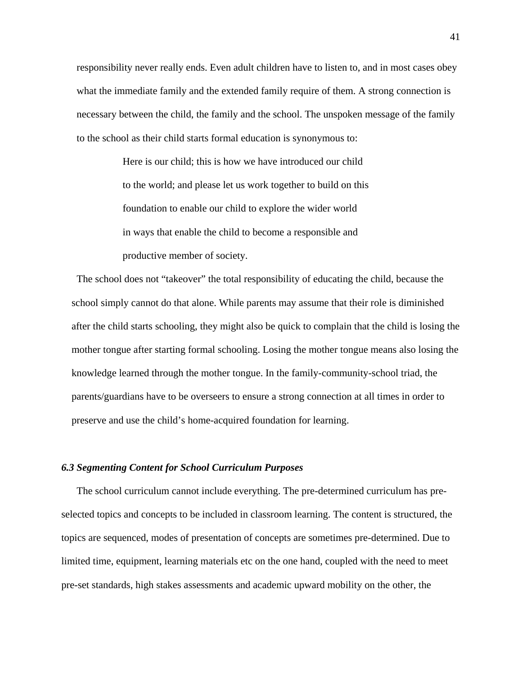responsibility never really ends. Even adult children have to listen to, and in most cases obey what the immediate family and the extended family require of them. A strong connection is necessary between the child, the family and the school. The unspoken message of the family to the school as their child starts formal education is synonymous to:

> Here is our child; this is how we have introduced our child to the world; and please let us work together to build on this foundation to enable our child to explore the wider world in ways that enable the child to become a responsible and productive member of society.

The school does not "takeover" the total responsibility of educating the child, because the school simply cannot do that alone. While parents may assume that their role is diminished after the child starts schooling, they might also be quick to complain that the child is losing the mother tongue after starting formal schooling. Losing the mother tongue means also losing the knowledge learned through the mother tongue. In the family-community-school triad, the parents/guardians have to be overseers to ensure a strong connection at all times in order to preserve and use the child's home-acquired foundation for learning.

#### *6.3 Segmenting Content for School Curriculum Purposes*

The school curriculum cannot include everything. The pre-determined curriculum has preselected topics and concepts to be included in classroom learning. The content is structured, the topics are sequenced, modes of presentation of concepts are sometimes pre-determined. Due to limited time, equipment, learning materials etc on the one hand, coupled with the need to meet pre-set standards, high stakes assessments and academic upward mobility on the other, the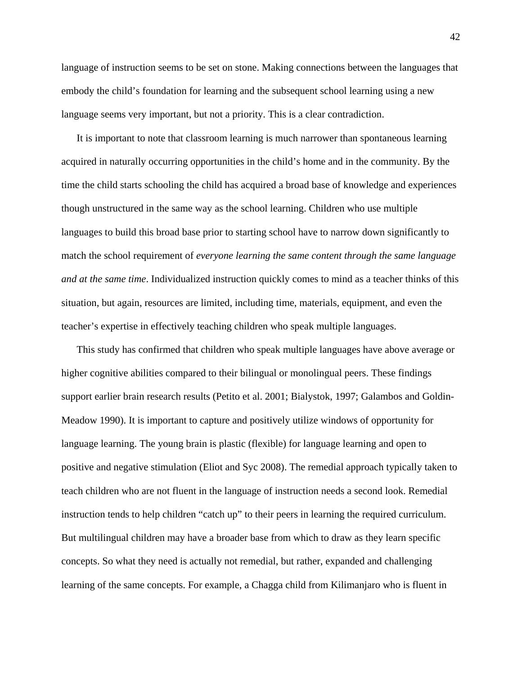language of instruction seems to be set on stone. Making connections between the languages that embody the child's foundation for learning and the subsequent school learning using a new language seems very important, but not a priority. This is a clear contradiction.

It is important to note that classroom learning is much narrower than spontaneous learning acquired in naturally occurring opportunities in the child's home and in the community. By the time the child starts schooling the child has acquired a broad base of knowledge and experiences though unstructured in the same way as the school learning. Children who use multiple languages to build this broad base prior to starting school have to narrow down significantly to match the school requirement of *everyone learning the same content through the same language and at the same time*. Individualized instruction quickly comes to mind as a teacher thinks of this situation, but again, resources are limited, including time, materials, equipment, and even the teacher's expertise in effectively teaching children who speak multiple languages.

This study has confirmed that children who speak multiple languages have above average or higher cognitive abilities compared to their bilingual or monolingual peers. These findings support earlier brain research results (Petito et al. 2001; Bialystok, 1997; Galambos and Goldin-Meadow 1990). It is important to capture and positively utilize windows of opportunity for language learning. The young brain is plastic (flexible) for language learning and open to positive and negative stimulation (Eliot and Syc 2008). The remedial approach typically taken to teach children who are not fluent in the language of instruction needs a second look. Remedial instruction tends to help children "catch up" to their peers in learning the required curriculum. But multilingual children may have a broader base from which to draw as they learn specific concepts. So what they need is actually not remedial, but rather, expanded and challenging learning of the same concepts. For example, a Chagga child from Kilimanjaro who is fluent in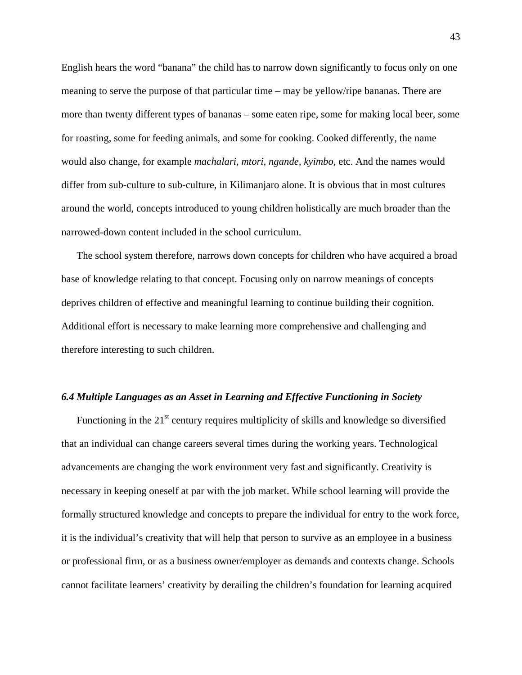English hears the word "banana" the child has to narrow down significantly to focus only on one meaning to serve the purpose of that particular time – may be yellow/ripe bananas. There are more than twenty different types of bananas – some eaten ripe, some for making local beer, some for roasting, some for feeding animals, and some for cooking. Cooked differently, the name would also change, for example *machalari, mtori, ngande, kyimbo*, etc. And the names would differ from sub-culture to sub-culture, in Kilimanjaro alone. It is obvious that in most cultures around the world, concepts introduced to young children holistically are much broader than the narrowed-down content included in the school curriculum.

The school system therefore, narrows down concepts for children who have acquired a broad base of knowledge relating to that concept. Focusing only on narrow meanings of concepts deprives children of effective and meaningful learning to continue building their cognition. Additional effort is necessary to make learning more comprehensive and challenging and therefore interesting to such children.

#### *6.4 Multiple Languages as an Asset in Learning and Effective Functioning in Society*

Functioning in the  $21<sup>st</sup>$  century requires multiplicity of skills and knowledge so diversified that an individual can change careers several times during the working years. Technological advancements are changing the work environment very fast and significantly. Creativity is necessary in keeping oneself at par with the job market. While school learning will provide the formally structured knowledge and concepts to prepare the individual for entry to the work force, it is the individual's creativity that will help that person to survive as an employee in a business or professional firm, or as a business owner/employer as demands and contexts change. Schools cannot facilitate learners' creativity by derailing the children's foundation for learning acquired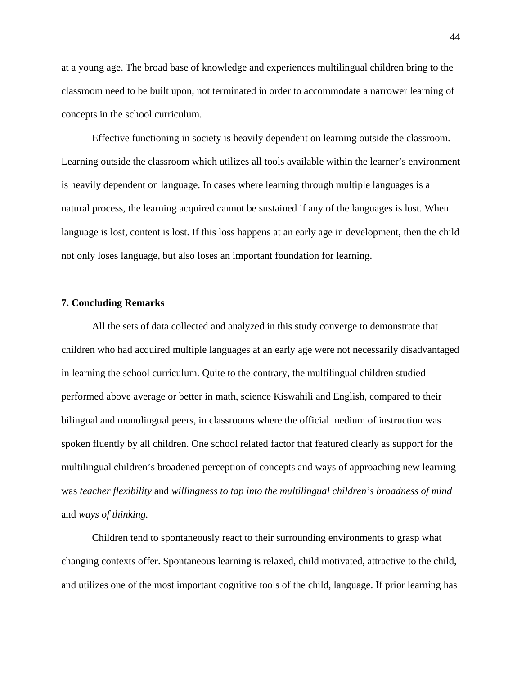at a young age. The broad base of knowledge and experiences multilingual children bring to the classroom need to be built upon, not terminated in order to accommodate a narrower learning of concepts in the school curriculum.

Effective functioning in society is heavily dependent on learning outside the classroom. Learning outside the classroom which utilizes all tools available within the learner's environment is heavily dependent on language. In cases where learning through multiple languages is a natural process, the learning acquired cannot be sustained if any of the languages is lost. When language is lost, content is lost. If this loss happens at an early age in development, then the child not only loses language, but also loses an important foundation for learning.

## **7. Concluding Remarks**

All the sets of data collected and analyzed in this study converge to demonstrate that children who had acquired multiple languages at an early age were not necessarily disadvantaged in learning the school curriculum. Quite to the contrary, the multilingual children studied performed above average or better in math, science Kiswahili and English, compared to their bilingual and monolingual peers, in classrooms where the official medium of instruction was spoken fluently by all children. One school related factor that featured clearly as support for the multilingual children's broadened perception of concepts and ways of approaching new learning was *teacher flexibility* and *willingness to tap into the multilingual children's broadness of mind* and *ways of thinking.*

Children tend to spontaneously react to their surrounding environments to grasp what changing contexts offer. Spontaneous learning is relaxed, child motivated, attractive to the child, and utilizes one of the most important cognitive tools of the child, language. If prior learning has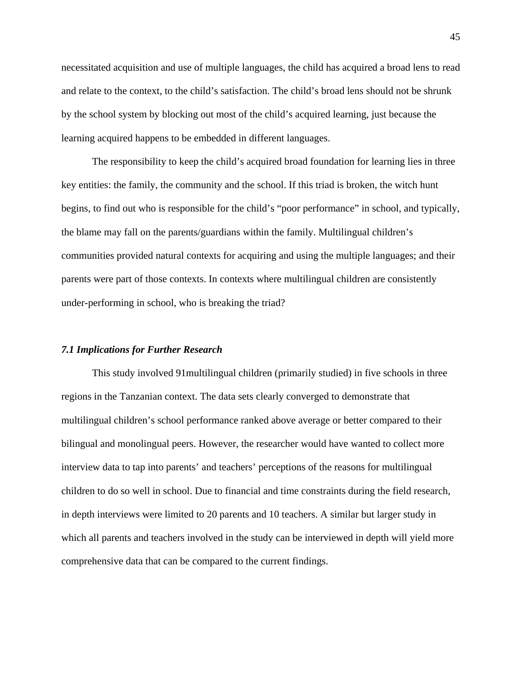necessitated acquisition and use of multiple languages, the child has acquired a broad lens to read and relate to the context, to the child's satisfaction. The child's broad lens should not be shrunk by the school system by blocking out most of the child's acquired learning, just because the learning acquired happens to be embedded in different languages.

The responsibility to keep the child's acquired broad foundation for learning lies in three key entities: the family, the community and the school. If this triad is broken, the witch hunt begins, to find out who is responsible for the child's "poor performance" in school, and typically, the blame may fall on the parents/guardians within the family. Multilingual children's communities provided natural contexts for acquiring and using the multiple languages; and their parents were part of those contexts. In contexts where multilingual children are consistently under-performing in school, who is breaking the triad?

### *7.1 Implications for Further Research*

This study involved 91multilingual children (primarily studied) in five schools in three regions in the Tanzanian context. The data sets clearly converged to demonstrate that multilingual children's school performance ranked above average or better compared to their bilingual and monolingual peers. However, the researcher would have wanted to collect more interview data to tap into parents' and teachers' perceptions of the reasons for multilingual children to do so well in school. Due to financial and time constraints during the field research, in depth interviews were limited to 20 parents and 10 teachers. A similar but larger study in which all parents and teachers involved in the study can be interviewed in depth will yield more comprehensive data that can be compared to the current findings.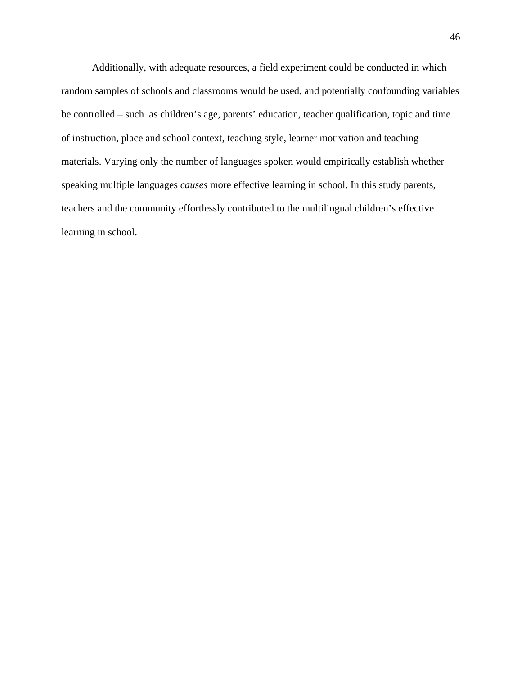Additionally, with adequate resources, a field experiment could be conducted in which random samples of schools and classrooms would be used, and potentially confounding variables be controlled – such as children's age, parents' education, teacher qualification, topic and time of instruction, place and school context, teaching style, learner motivation and teaching materials. Varying only the number of languages spoken would empirically establish whether speaking multiple languages *causes* more effective learning in school. In this study parents, teachers and the community effortlessly contributed to the multilingual children's effective learning in school.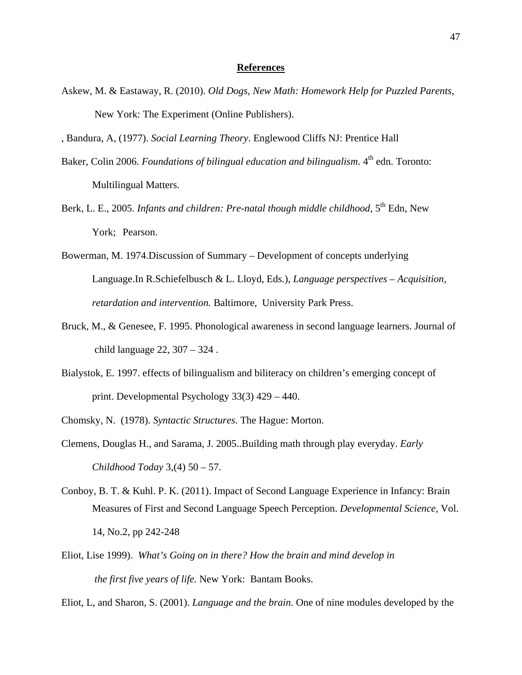#### **References**

- Askew, M. & Eastaway, R. (2010). *Old Dogs, New Math: Homework Help for Puzzled Parents*, New York: The Experiment (Online Publishers).
- , Bandura, A, (1977). *Social Learning Theory*. Englewood Cliffs NJ: Prentice Hall
- Baker, Colin 2006. *Foundations of bilingual education and bilingualism*. 4<sup>th</sup> edn. Toronto: Multilingual Matters.
- Berk, L. E., 2005. *Infants and children: Pre-natal though middle childhood*, 5<sup>th</sup> Edn, New York; Pearson.
- Bowerman, M. 1974.Discussion of Summary Development of concepts underlying Language.In R.Schiefelbusch & L. Lloyd, Eds.), *Language perspectives – Acquisition, retardation and intervention.* Baltimore, University Park Press.
- Bruck, M., & Genesee, F. 1995. Phonological awareness in second language learners. Journal of child language 22, 307 – 324 .
- Bialystok, E. 1997. effects of bilingualism and biliteracy on children's emerging concept of print. Developmental Psychology 33(3) 429 – 440.
- Chomsky, N. (1978). *Syntactic Structures*. The Hague: Morton.
- Clemens, Douglas H., and Sarama, J. 2005..Building math through play everyday. *Early Childhood Today* 3,(4) 50 – 57.
- Conboy, B. T. & Kuhl. P. K. (2011). Impact of Second Language Experience in Infancy: Brain Measures of First and Second Language Speech Perception. *Developmental Science*, Vol. 14, No.2, pp 242-248
- Eliot, Lise 1999). *What's Going on in there? How the brain and mind develop in the first five years of life.* New York: Bantam Books.

Eliot, L, and Sharon, S. (2001). *Language and the brain*. One of nine modules developed by the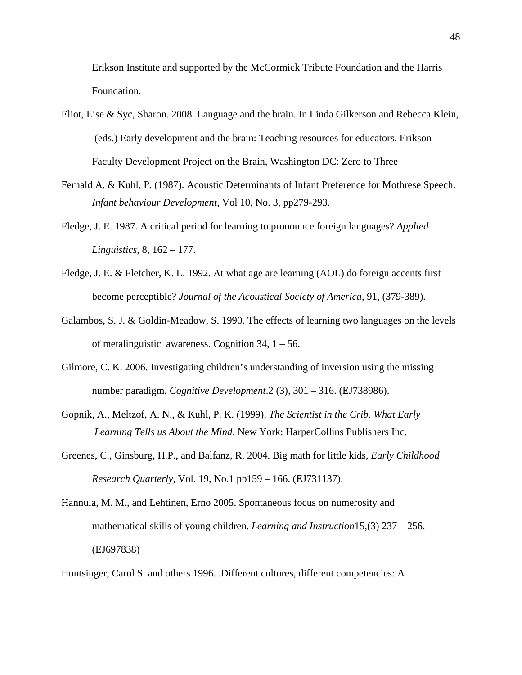Erikson Institute and supported by the McCormick Tribute Foundation and the Harris Foundation.

- Eliot, Lise & Syc, Sharon. 2008. Language and the brain. In Linda Gilkerson and Rebecca Klein, (eds.) Early development and the brain: Teaching resources for educators. Erikson Faculty Development Project on the Brain, Washington DC: Zero to Three
- Fernald A. & Kuhl, P. (1987). Acoustic Determinants of Infant Preference for Mothrese Speech. *Infant behaviour Development*, Vol 10, No. 3, pp279-293.
- Fledge, J. E. 1987. A critical period for learning to pronounce foreign languages? *Applied Linguistics*, 8, 162 – 177.
- Fledge, J. E. & Fletcher, K. L. 1992. At what age are learning (AOL) do foreign accents first become perceptible? *Journal of the Acoustical Society of America*, 91, (379-389).
- Galambos, S. J. & Goldin-Meadow, S. 1990. The effects of learning two languages on the levels of metalinguistic awareness. Cognition  $34$ ,  $1 - 56$ .
- Gilmore, C. K. 2006. Investigating children's understanding of inversion using the missing number paradigm, *Cognitive Development*.2 (3), 301 – 316. (EJ738986).
- Gopnik, A., Meltzof, A. N., & Kuhl, P. K. (1999). *The Scientist in the Crib. What Early Learning Tells us About the Mind*. New York: HarperCollins Publishers Inc.
- Greenes, C., Ginsburg, H.P., and Balfanz, R. 2004. Big math for little kids, *Early Childhood Research Quarterly*, Vol. 19, No.1 pp159 – 166. (EJ731137).
- Hannula, M. M., and Lehtinen, Erno 2005. Spontaneous focus on numerosity and mathematical skills of young children. *Learning and Instruction*15,(3) 237 – 256. (EJ697838)

Huntsinger, Carol S. and others 1996. .Different cultures, different competencies: A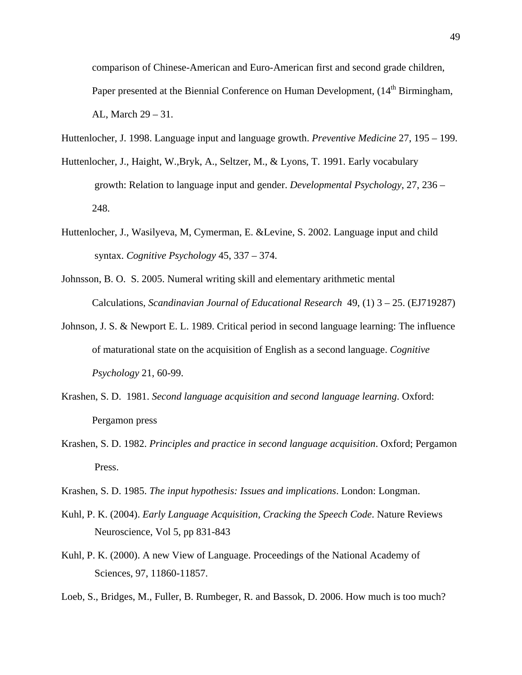comparison of Chinese-American and Euro-American first and second grade children, Paper presented at the Biennial Conference on Human Development, (14<sup>th</sup> Birmingham, AL, March 29 – 31.

Huttenlocher, J. 1998. Language input and language growth. *Preventive Medicine* 27, 195 – 199.

- Huttenlocher, J., Haight, W.,Bryk, A., Seltzer, M., & Lyons, T. 1991. Early vocabulary growth: Relation to language input and gender. *Developmental Psychology*, 27, 236 – 248.
- Huttenlocher, J., Wasilyeva, M, Cymerman, E. &Levine, S. 2002. Language input and child syntax. *Cognitive Psychology* 45, 337 – 374.
- Johnsson, B. O. S. 2005. Numeral writing skill and elementary arithmetic mental Calculations, *Scandinavian Journal of Educational Research* 49, (1) 3 – 25. (EJ719287)
- Johnson, J. S. & Newport E. L. 1989. Critical period in second language learning: The influence of maturational state on the acquisition of English as a second language. *Cognitive Psychology* 21, 60-99.
- Krashen, S. D. 1981. *Second language acquisition and second language learning*. Oxford: Pergamon press
- Krashen, S. D. 1982. *Principles and practice in second language acquisition*. Oxford; Pergamon Press.
- Krashen, S. D. 1985. *The input hypothesis: Issues and implications*. London: Longman.
- Kuhl, P. K. (2004). *Early Language Acquisition, Cracking the Speech Code*. Nature Reviews Neuroscience, Vol 5, pp 831-843
- Kuhl, P. K. (2000). A new View of Language. Proceedings of the National Academy of Sciences, 97, 11860-11857.
- Loeb, S., Bridges, M., Fuller, B. Rumbeger, R. and Bassok, D. 2006. How much is too much?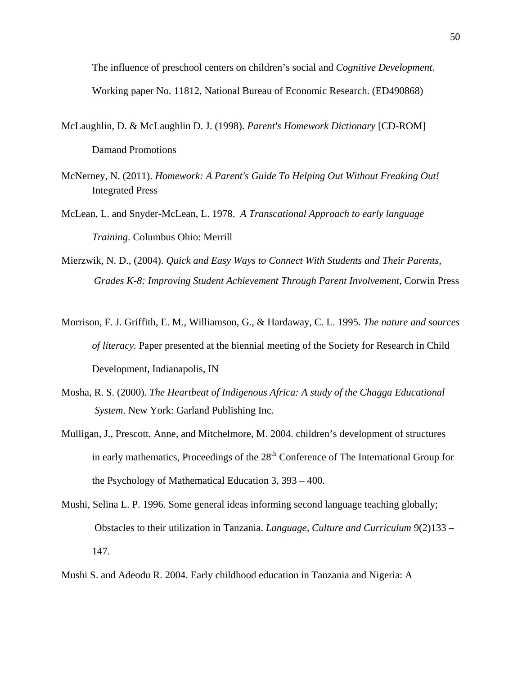The influence of preschool centers on children's social and *Cognitive Development*. Working paper No. 11812, National Bureau of Economic Research. (ED490868)

- McLaughlin, D. & McLaughlin D. J. (1998). *Parent's Homework Dictionary* [CD-ROM] Damand Promotions
- McNerney, N. (2011). *Homework: A Parent's Guide To Helping Out Without Freaking Out!* Integrated Press
- McLean, L. and Snyder-McLean, L. 1978. *A Transcational Approach to early language Training*. Columbus Ohio: Merrill
- Mierzwik, N. D., (2004). *Quick and Easy Ways to Connect With Students and Their Parents, Grades K-8: Improving Student Achievement Through Parent Involvement,* Corwin Press
- Morrison, F. J. Griffith, E. M., Williamson, G., & Hardaway, C. L. 1995. *The nature and sources of literacy.* Paper presented at the biennial meeting of the Society for Research in Child Development, Indianapolis, IN
- Mosha, R. S. (2000). *The Heartbeat of Indigenous Africa: A study of the Chagga Educational System*. New York: Garland Publishing Inc.
- Mulligan, J., Prescott, Anne, and Mitchelmore, M. 2004. children's development of structures in early mathematics, Proceedings of the 28<sup>th</sup> Conference of The International Group for the Psychology of Mathematical Education 3, 393 – 400.
- Mushi, Selina L. P. 1996. Some general ideas informing second language teaching globally; Obstacles to their utilization in Tanzania. *Language, Culture and Curriculum* 9(2)133 – 147.
- Mushi S. and Adeodu R. 2004. Early childhood education in Tanzania and Nigeria: A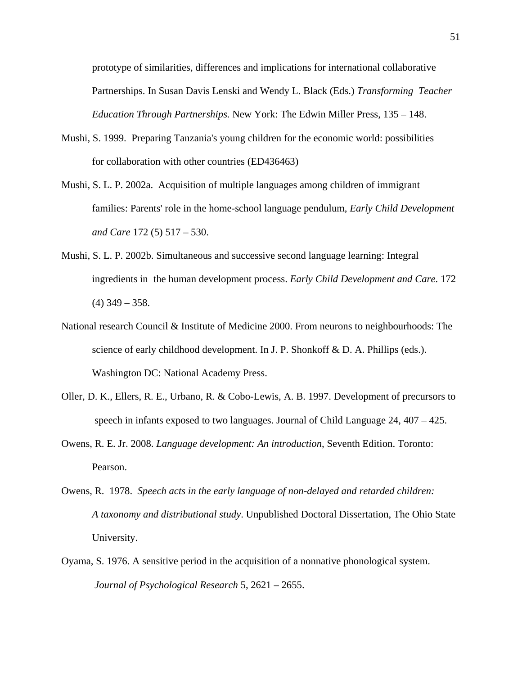prototype of similarities, differences and implications for international collaborative Partnerships. In Susan Davis Lenski and Wendy L. Black (Eds.) *Transforming Teacher Education Through Partnerships.* New York: The Edwin Miller Press, 135 – 148.

- Mushi, S. 1999. Preparing Tanzania's young children for the economic world: possibilities for collaboration with other countries (ED436463)
- Mushi, S. L. P. 2002a. Acquisition of multiple languages among children of immigrant families: Parents' role in the home-school language pendulum, *[Early Child Development](javascript:__doLinkPostBack()  [and Care](javascript:__doLinkPostBack()* 172 (5) 517 – 530.
- Mushi, S. L. P. 2002b. Simultaneous and successive second language learning: Integral ingredients in the human development process. *Early Child Development and Care*. 172  $(4)$  349 – 358.
- National research Council & Institute of Medicine 2000. From neurons to neighbourhoods: The science of early childhood development. In J. P. Shonkoff & D. A. Phillips (eds.). Washington DC: National Academy Press.
- Oller, D. K., Ellers, R. E., Urbano, R. & Cobo-Lewis, A. B. 1997. Development of precursors to speech in infants exposed to two languages. Journal of Child Language 24, 407 – 425.
- Owens, R. E. Jr. 2008. *Language development: An introduction*, Seventh Edition. Toronto: Pearson.
- Owens, R. 1978. *Speech acts in the early language of non-delayed and retarded children: A taxonomy and distributional study*. Unpublished Doctoral Dissertation, The Ohio State University.
- Oyama, S. 1976. A sensitive period in the acquisition of a nonnative phonological system. *Journal of Psychological Research* 5, 2621 – 2655.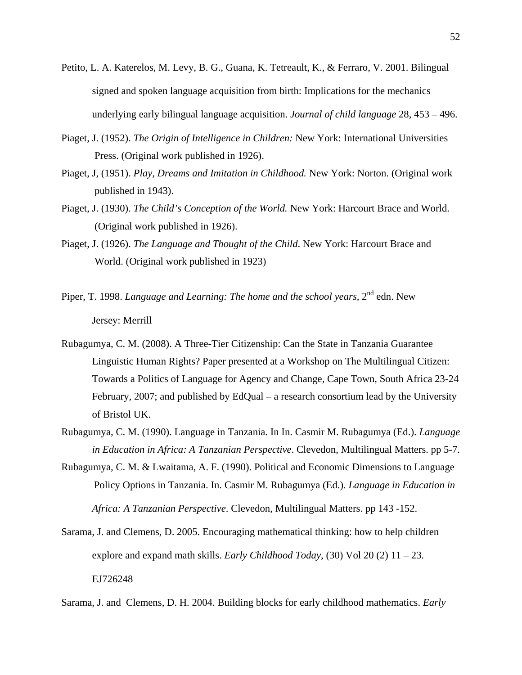- Petito, L. A. Katerelos, M. Levy, B. G., Guana, K. Tetreault, K., & Ferraro, V. 2001. Bilingual signed and spoken language acquisition from birth: Implications for the mechanics underlying early bilingual language acquisition. *Journal of child language* 28, 453 – 496.
- Piaget, J. (1952). *The Origin of Intelligence in Children:* New York: International Universities Press. (Original work published in 1926).
- Piaget, J, (1951). *Play, Dreams and Imitation in Childhood.* New York: Norton. (Original work published in 1943).
- Piaget, J. (1930). *The Child's Conception of the World.* New York: Harcourt Brace and World. (Original work published in 1926).
- Piaget, J. (1926). *The Language and Thought of the Child*. New York: Harcourt Brace and World. (Original work published in 1923)
- Piper, T. 1998. *Language and Learning: The home and the school years*, 2<sup>nd</sup> edn. New Jersey: Merrill
- Rubagumya, C. M. (2008). A Three-Tier Citizenship: Can the State in Tanzania Guarantee Linguistic Human Rights? Paper presented at a Workshop on The Multilingual Citizen: Towards a Politics of Language for Agency and Change, Cape Town, South Africa 23-24 February, 2007; and published by EdQual – a research consortium lead by the University of Bristol UK.
- Rubagumya, C. M. (1990). Language in Tanzania. In In. Casmir M. Rubagumya (Ed.). *Language in Education in Africa: A Tanzanian Perspective*. Clevedon, Multilingual Matters. pp 5-7.
- Rubagumya, C. M. & Lwaitama, A. F. (1990). Political and Economic Dimensions to Language Policy Options in Tanzania. In. Casmir M. Rubagumya (Ed.). *Language in Education in Africa: A Tanzanian Perspective*. Clevedon, Multilingual Matters. pp 143 -152.
- Sarama, J. and Clemens, D. 2005. Encouraging mathematical thinking: how to help children explore and expand math skills. *Early Childhood Today*, (30) Vol 20 (2) 11 – 23. EJ726248

Sarama, J. and Clemens, D. H. 2004. Building blocks for early childhood mathematics. *Early*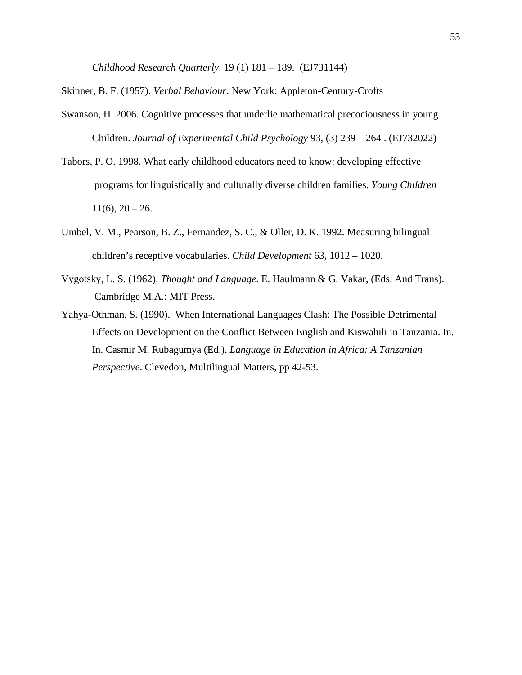*Childhood Research Quarterly*. 19 (1) 181 – 189. (EJ731144)

Skinner, B. F. (1957). *Verbal Behaviour*. New York: Appleton-Century-Crofts

- Swanson, H. 2006. Cognitive processes that underlie mathematical precociousness in young Children. *Journal of Experimental Child Psychology* 93, (3) 239 – 264 . (EJ732022)
- Tabors, P. O. 1998. What early childhood educators need to know: developing effective programs for linguistically and culturally diverse children families. *Young Children*  $11(6)$ ,  $20 - 26$ .
- Umbel, V. M., Pearson, B. Z., Fernandez, S. C., & Oller, D. K. 1992. Measuring bilingual children's receptive vocabularies. *Child Development* 63, 1012 – 1020.
- Vygotsky, L. S. (1962). *Thought and Language*. E. Haulmann & G. Vakar, (Eds. And Trans). Cambridge M.A.: MIT Press.
- Yahya-Othman, S. (1990). When International Languages Clash: The Possible Detrimental Effects on Development on the Conflict Between English and Kiswahili in Tanzania. In. In. Casmir M. Rubagumya (Ed.). *Language in Education in Africa: A Tanzanian Perspective*. Clevedon, Multilingual Matters, pp 42-53.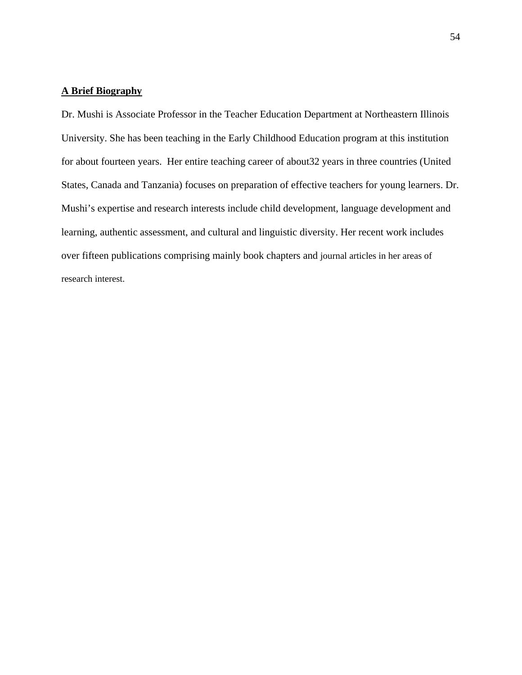## **A Brief Biography**

Dr. Mushi is Associate Professor in the Teacher Education Department at Northeastern Illinois University. She has been teaching in the Early Childhood Education program at this institution for about fourteen years. Her entire teaching career of about32 years in three countries (United States, Canada and Tanzania) focuses on preparation of effective teachers for young learners. Dr. Mushi's expertise and research interests include child development, language development and learning, authentic assessment, and cultural and linguistic diversity. Her recent work includes over fifteen publications comprising mainly book chapters and journal articles in her areas of research interest.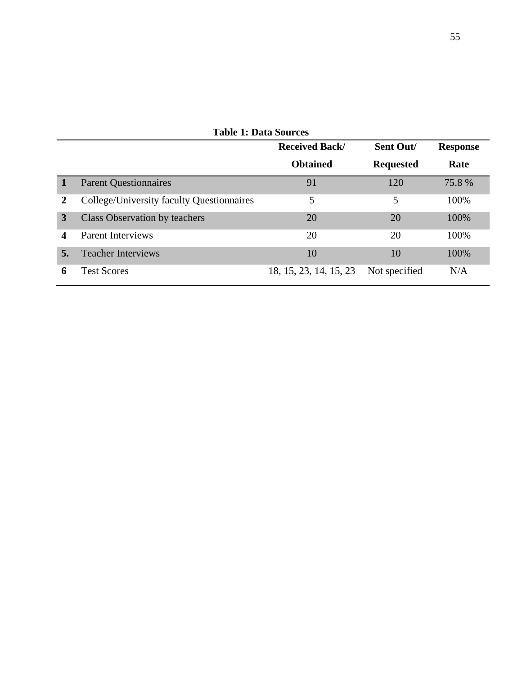|    | <b>Table 1: Data Sources</b>              |                        |                  |                 |  |  |  |  |  |  |  |
|----|-------------------------------------------|------------------------|------------------|-----------------|--|--|--|--|--|--|--|
|    |                                           | <b>Received Back/</b>  | Sent Out/        | <b>Response</b> |  |  |  |  |  |  |  |
|    |                                           | <b>Obtained</b>        | <b>Requested</b> | Rate            |  |  |  |  |  |  |  |
|    | <b>Parent Questionnaires</b>              | 91                     | 120              | 75.8%           |  |  |  |  |  |  |  |
| 2  | College/University faculty Questionnaires | 5                      | 5                | 100%            |  |  |  |  |  |  |  |
| 3  | Class Observation by teachers             | 20                     | 20               | 100%            |  |  |  |  |  |  |  |
| 4  | <b>Parent Interviews</b>                  | 20                     | 20               | 100%            |  |  |  |  |  |  |  |
| 5. | <b>Teacher Interviews</b>                 | 10                     | 10               | 100%            |  |  |  |  |  |  |  |
| 6  | <b>Test Scores</b>                        | 18, 15, 23, 14, 15, 23 | Not specified    | N/A             |  |  |  |  |  |  |  |

55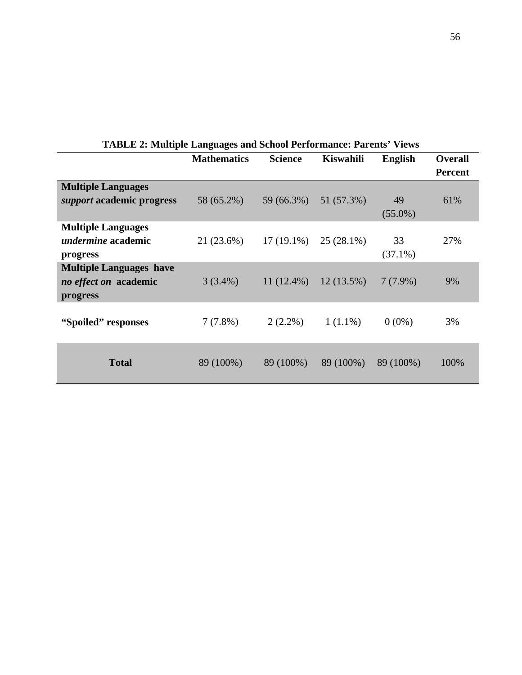|                                                                     | <b>Mathematics</b> | <b>Science</b> | <b>Kiswahili</b> | <b>English</b>   | <b>Overall</b><br><b>Percent</b> |
|---------------------------------------------------------------------|--------------------|----------------|------------------|------------------|----------------------------------|
| <b>Multiple Languages</b>                                           |                    |                |                  |                  |                                  |
| support academic progress                                           | 58 (65.2%)         | 59 (66.3%)     | 51 (57.3%)       | 49<br>$(55.0\%)$ | 61%                              |
| <b>Multiple Languages</b><br>undermine academic<br>progress         | 21 (23.6%)         | $17(19.1\%)$   | $25(28.1\%)$     | 33<br>$(37.1\%)$ | 27%                              |
| <b>Multiple Languages have</b><br>no effect on academic<br>progress | $3(3.4\%)$         | $11(12.4\%)$   | $12(13.5\%)$     | $7(7.9\%)$       | 9%                               |
| "Spoiled" responses                                                 | $7(7.8\%)$         | $2(2.2\%)$     | $1(1.1\%)$       | $0(0\%)$         | 3%                               |
| <b>Total</b>                                                        | 89 (100%)          | 89 (100%)      | 89 (100%)        | 89 (100%)        | 100%                             |

**TABLE 2: Multiple Languages and School Performance: Parents' Views**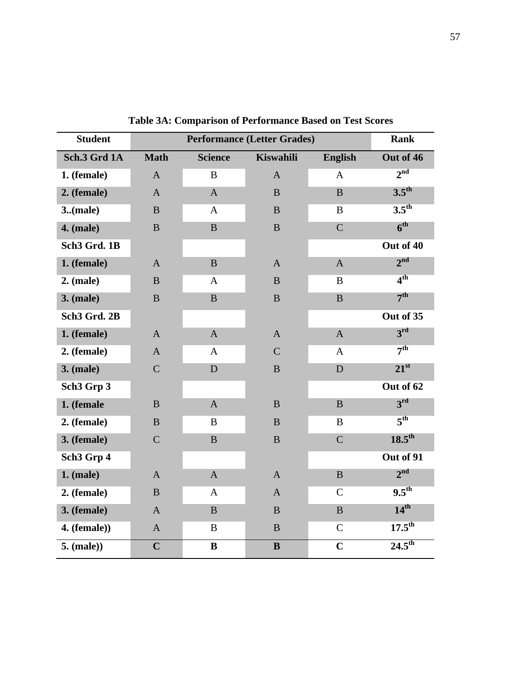| <b>Student</b>           |                | <b>Rank</b>    |                  |                |                    |
|--------------------------|----------------|----------------|------------------|----------------|--------------------|
| Sch.3 Grd 1A             | <b>Math</b>    | <b>Science</b> | <b>Kiswahili</b> | <b>English</b> | Out of 46          |
| 1. (female)              | $\mathbf{A}$   | B              | $\mathbf{A}$     | A              | 2 <sup>nd</sup>    |
| 2. (female)              | $\mathbf{A}$   | $\mathbf{A}$   | $\bf{B}$         | $\bf{B}$       | $3.5^{\text{th}}$  |
| 3. (male)                | $\bf{B}$       | A              | $\bf{B}$         | $\bf{B}$       | $3.5^{\text{th}}$  |
| <b>4.</b> (male)         | $\bf{B}$       | $\bf{B}$       | $\bf{B}$         | $\overline{C}$ | 6 <sup>th</sup>    |
| Sch <sub>3</sub> Grd. 1B |                |                |                  |                | Out of 40          |
| 1. (female)              | $\mathbf{A}$   | $\bf{B}$       | $\mathbf{A}$     | $\mathbf{A}$   | 2 <sup>nd</sup>    |
| $2.$ (male)              | $\bf{B}$       | $\mathbf{A}$   | $\bf{B}$         | B              | 4 <sup>th</sup>    |
| <b>3.</b> (male)         | B              | $\mathbf{B}$   | $\bf{B}$         | $\mathbf{B}$   | 7 <sup>th</sup>    |
| Sch <sub>3</sub> Grd. 2B |                |                |                  |                | Out of 35          |
| 1. (female)              | $\overline{A}$ | $\mathbf{A}$   | $\mathbf{A}$     | $\mathbf{A}$   | 3 <sup>rd</sup>    |
| 2. (female)              | $\mathbf{A}$   | $\mathbf{A}$   | $\mathcal{C}$    | A              | 7 <sup>th</sup>    |
| <b>3.</b> (male)         | $\mathbf C$    | D              | $\bf{B}$         | D              | $21^{st}$          |
| Sch <sub>3</sub> Grp 3   |                |                |                  |                | Out of 62          |
| 1. (female               | B              | $\mathbf{A}$   | $\bf{B}$         | B              | 3 <sup>rd</sup>    |
| 2. (female)              | $\bf{B}$       | $\bf{B}$       | $\, {\bf B}$     | B              | 5 <sup>th</sup>    |
| 3. (female)              | $\mathcal{C}$  | $\, {\bf B}$   | $\, {\bf B}$     | $\mathcal{C}$  | $18.5^{\text{th}}$ |
| Sch <sub>3</sub> Grp 4   |                |                |                  |                | Out of 91          |
| $1.$ (male)              | $\mathbf{A}$   | $\mathbf{A}$   | $\mathbf{A}$     | B              | 2 <sup>nd</sup>    |
| 2. (female)              | $\bf{B}$       | $\mathbf{A}$   | $\mathbf{A}$     | $\overline{C}$ | $9.5^{\text{th}}$  |
| 3. (female)              | $\mathbf{A}$   | $\bf{B}$       | $\bf{B}$         | $\bf{B}$       | $14^{\text{th}}$   |
| $4.$ (female))           | $\mathbf{A}$   | $\bf{B}$       | $\mathbf{B}$     | $\mathbf C$    | $17.5^{\rm th}$    |
| 5. (male))               | $\mathbf C$    | $\bf{B}$       | $\bf{B}$         | $\mathbf C$    | $24.5^{\text{th}}$ |

**Table 3A: Comparison of Performance Based on Test Scores**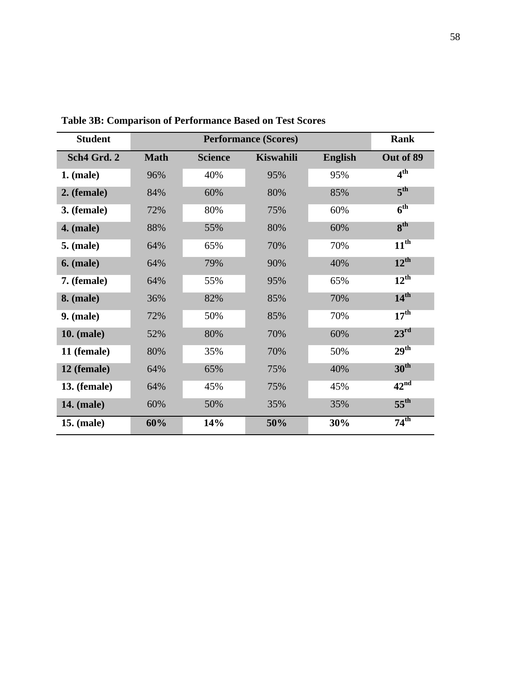| <b>Student</b>      |             | <b>Rank</b>    |                  |                |                  |
|---------------------|-------------|----------------|------------------|----------------|------------------|
| Sch4 Grd. 2         | <b>Math</b> | <b>Science</b> | <b>Kiswahili</b> | <b>English</b> | Out of 89        |
| $1.$ (male)         | 96%         | 40%            | 95%              | 95%            | 4 <sup>th</sup>  |
| 2. (female)         | 84%         | 60%            | 80%              | 85%            | 5 <sup>th</sup>  |
| 3. (female)         | 72%         | 80%            | 75%              | 60%            | 6 <sup>th</sup>  |
| <b>4.</b> (male)    | 88%         | 55%            | 80%              | 60%            | 8 <sup>th</sup>  |
| <b>5.</b> (male)    | 64%         | 65%            | 70%              | 70%            | $11^{\text{th}}$ |
| <b>6.</b> (male)    | 64%         | 79%            | 90%              | 40%            | $12^{\text{th}}$ |
| 7. (female)         | 64%         | 55%            | 95%              | 65%            | $12^{\text{th}}$ |
| <b>8.</b> (male)    | 36%         | 82%            | 85%              | 70%            | 14 <sup>th</sup> |
| $9.$ (male)         | 72%         | 50%            | 85%              | 70%            | 17 <sup>th</sup> |
| <b>10.</b> (male)   | 52%         | 80%            | 70%              | 60%            | $23^{\rm rd}$    |
| 11 (female)         | 80%         | 35%            | 70%              | 50%            | 29 <sup>th</sup> |
| 12 (female)         | 64%         | 65%            | 75%              | 40%            | 30 <sup>th</sup> |
| <b>13.</b> (female) | 64%         | 45%            | 75%              | 45%            | 42 <sup>nd</sup> |
| <b>14.</b> (male)   | 60%         | 50%            | 35%              | 35%            | $55^{\text{th}}$ |
| <b>15. (male)</b>   | 60%         | 14%            | 50%              | 30%            | $74^{\text{th}}$ |

**Table 3B: Comparison of Performance Based on Test Scores**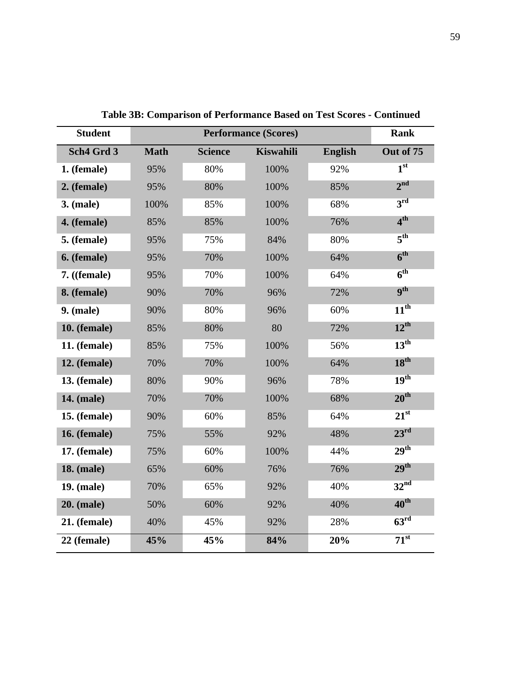| <b>Student</b>      |             | <b>Rank</b>    |                  |                |                  |
|---------------------|-------------|----------------|------------------|----------------|------------------|
| Sch4 Grd 3          | <b>Math</b> | <b>Science</b> | <b>Kiswahili</b> | <b>English</b> | Out of 75        |
| 1. (female)         | 95%         | 80%            | 100%             | 92%            | 1 <sup>st</sup>  |
| 2. (female)         | 95%         | 80%            | 100%             | 85%            | 2 <sup>nd</sup>  |
| $3.$ (male)         | 100%        | 85%            | 100%             | 68%            | 3 <sup>rd</sup>  |
| 4. (female)         | 85%         | 85%            | 100%             | 76%            | 4 <sup>th</sup>  |
| 5. (female)         | 95%         | 75%            | 84%              | 80%            | 5 <sup>th</sup>  |
| 6. (female)         | 95%         | 70%            | 100%             | 64%            | 6 <sup>th</sup>  |
| 7. ((female)        | 95%         | 70%            | 100%             | 64%            | 6 <sup>th</sup>  |
| 8. (female)         | 90%         | 70%            | 96%              | 72%            | <b>gth</b>       |
| <b>9.</b> (male)    | 90%         | 80%            | 96%              | 60%            | $11^{th}$        |
| 10. (female)        | 85%         | 80%            | 80               | 72%            | $12^{th}$        |
| <b>11.</b> (female) | 85%         | 75%            | 100%             | 56%            | $13^{\text{th}}$ |
| <b>12.</b> (female) | 70%         | 70%            | 100%             | 64%            | 18 <sup>th</sup> |
| 13. (female)        | 80%         | 90%            | 96%              | 78%            | 19 <sup>th</sup> |
| <b>14.</b> (male)   | 70%         | 70%            | 100%             | 68%            | 20 <sup>th</sup> |
| <b>15.</b> (female) | 90%         | 60%            | 85%              | 64%            | $21^{st}$        |
| <b>16.</b> (female) | 75%         | 55%            | 92%              | 48%            | 23 <sup>rd</sup> |
| <b>17.</b> (female) | 75%         | 60%            | 100%             | 44%            | 29 <sup>th</sup> |
| <b>18. (male)</b>   | 65%         | 60%            | 76%              | 76%            | 29 <sup>th</sup> |
| 19. (male)          | 70%         | 65%            | 92%              | 40%            | 32 <sup>nd</sup> |
| <b>20.</b> (male)   | 50%         | 60%            | 92%              | 40%            | $40^{\text{th}}$ |
| 21. (female)        | 40%         | 45%            | 92%              | 28%            | 63 <sup>rd</sup> |
| 22 (female)         | 45%         | 45%            | 84%              | 20%            | $71^{st}$        |

**Table 3B: Comparison of Performance Based on Test Scores - Continued**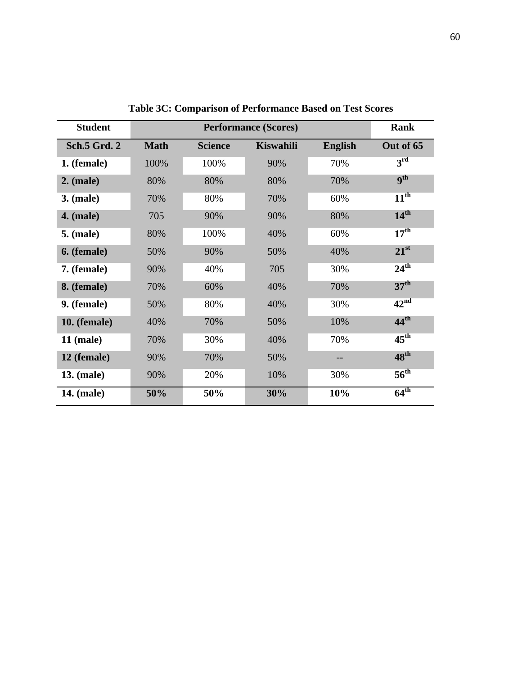| <b>Student</b>      |             | <b>Performance (Scores)</b> |                  |                |                  |  |  |  |  |  |
|---------------------|-------------|-----------------------------|------------------|----------------|------------------|--|--|--|--|--|
| <b>Sch.5 Grd. 2</b> | <b>Math</b> | <b>Science</b>              | <b>Kiswahili</b> | <b>English</b> | Out of 65        |  |  |  |  |  |
| 1. (female)         | 100%        | 100%                        | 90%              | 70%            | 3 <sup>rd</sup>  |  |  |  |  |  |
| $2.$ (male)         | 80%         | 80%                         | 80%              | 70%            | <b>gth</b>       |  |  |  |  |  |
| $3.$ (male)         | 70%         | 80%                         | 70%              | 60%            | $11^{\text{th}}$ |  |  |  |  |  |
| $4.$ (male)         | 705         | 90%                         | 90%              | 80%            | 14 <sup>th</sup> |  |  |  |  |  |
| <b>5.</b> (male)    | 80%         | 100%                        | 40%              | 60%            | 17 <sup>th</sup> |  |  |  |  |  |
| 6. (female)         | 50%         | 90%                         | 50%              | 40%            | $21^{st}$        |  |  |  |  |  |
| 7. (female)         | 90%         | 40%                         | 705              | 30%            | $24^{\text{th}}$ |  |  |  |  |  |
| 8. (female)         | 70%         | 60%                         | 40%              | 70%            | 37 <sup>th</sup> |  |  |  |  |  |
| 9. (female)         | 50%         | 80%                         | 40%              | 30%            | 42 <sup>nd</sup> |  |  |  |  |  |
| 10. (female)        | 40%         | 70%                         | 50%              | 10%            | 44 <sup>th</sup> |  |  |  |  |  |
| <b>11 (male)</b>    | 70%         | 30%                         | 40%              | 70%            | $45^{\rm th}$    |  |  |  |  |  |
| 12 (female)         | 90%         | 70%                         | 50%              | --             | 48 <sup>th</sup> |  |  |  |  |  |
| <b>13. (male)</b>   | 90%         | 20%                         | 10%              | 30%            | $56^{\text{th}}$ |  |  |  |  |  |
| <b>14.</b> (male)   | 50%         | 50%                         | 30%              | 10%            | $64^{\text{th}}$ |  |  |  |  |  |

**Table 3C: Comparison of Performance Based on Test Scores**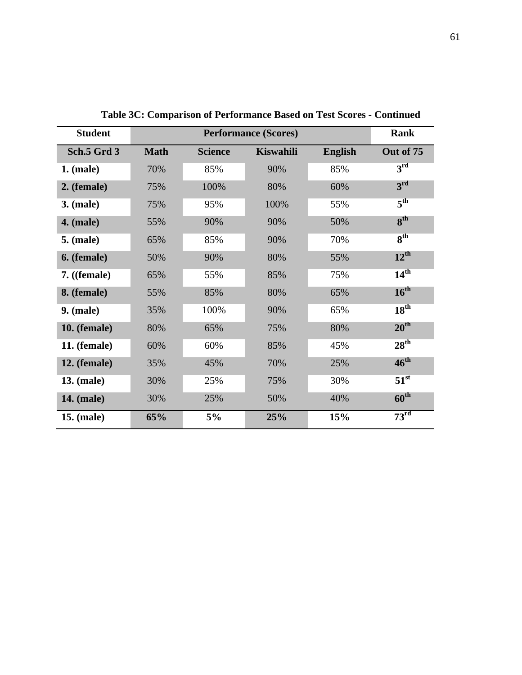| <b>Student</b>    |                               |      | <b>Performance (Scores)</b> |                | Rank             |
|-------------------|-------------------------------|------|-----------------------------|----------------|------------------|
| Sch.5 Grd 3       | <b>Math</b><br><b>Science</b> |      | <b>Kiswahili</b>            | <b>English</b> | Out of 75        |
| $1.$ (male)       | 70%                           | 85%  | 90%                         | 85%            | $3^{\rm rd}$     |
| 2. (female)       | 75%                           | 100% | 80%                         | 60%            | 3 <sup>rd</sup>  |
| <b>3.</b> (male)  | 75%                           | 95%  | 100%                        | 55%            | 5 <sup>th</sup>  |
| <b>4.</b> (male)  | 55%                           | 90%  | 90%                         | 50%            | 8 <sup>th</sup>  |
| <b>5.</b> (male)  | 65%                           | 85%  | 90%                         | 70%            | 8 <sup>th</sup>  |
| 6. (female)       | 50%                           | 90%  | 80%                         | 55%            | $12^{\text{th}}$ |
| $7.$ ((female)    | 65%                           | 55%  | 85%                         | 75%            | 14 <sup>th</sup> |
| 8. (female)       | 55%                           | 85%  | 80%                         | 65%            | $16^{\text{th}}$ |
| <b>9.</b> (male)  | 35%                           | 100% | 90%                         | 65%            | 18 <sup>th</sup> |
| 10. (female)      | 80%                           | 65%  | 75%                         | 80%            | $20^{\text{th}}$ |
| 11. (female)      | 60%                           | 60%  | 85%                         | 45%            | 28 <sup>th</sup> |
| 12. (female)      | 35%                           | 45%  | 70%                         | 25%            | $46^{\text{th}}$ |
| <b>13. (male)</b> | 30%                           | 25%  | 75%                         | 30%            | $51^{\rm st}$    |
| <b>14.</b> (male) | 30%                           | 25%  | 50%                         | 40%            | $60^{\text{th}}$ |
| <b>15. (male)</b> | 65%                           | 5%   | 25%                         | 15%            | 73 <sup>rd</sup> |

**Table 3C: Comparison of Performance Based on Test Scores - Continued**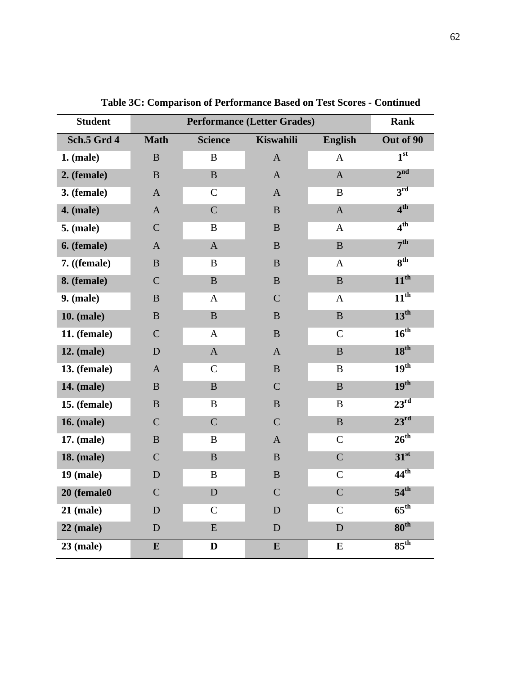| <b>Student</b>      |                | <b>Rank</b>    |                  |                |                     |
|---------------------|----------------|----------------|------------------|----------------|---------------------|
| Sch.5 Grd 4         | <b>Math</b>    | <b>Science</b> | <b>Kiswahili</b> | <b>English</b> | Out of 90           |
| 1. (male)           | $\, {\bf B}$   | $\, {\bf B}$   | $\mathbf{A}$     | $\mathbf{A}$   | 1 <sup>st</sup>     |
| 2. (female)         | $\mathbf B$    | $\mathbf{B}$   | $\mathbf A$      | $\mathbf A$    | 2 <sup>nd</sup>     |
| 3. (female)         | $\mathbf{A}$   | $\mathbf C$    | $\mathbf{A}$     | $\bf{B}$       | 3 <sup>rd</sup>     |
| <b>4.</b> (male)    | $\mathbf{A}$   | $\mathsf{C}$   | $\, {\bf B}$     | $\mathbf A$    | 4 <sup>th</sup>     |
| <b>5.</b> (male)    | $\overline{C}$ | $\bf{B}$       | $\bf{B}$         | $\mathbf{A}$   | 4 <sup>th</sup>     |
| 6. (female)         | $\mathbf{A}$   | $\mathbf{A}$   | $\, {\bf B}$     | $\, {\bf B}$   | 7 <sup>th</sup>     |
| 7. ((female)        | $\, {\bf B}$   | $\bf{B}$       | $\, {\bf B}$     | $\mathbf{A}$   | $\overline{8^{th}}$ |
| 8. (female)         | $\mathcal{C}$  | $\, {\bf B}$   | $\, {\bf B}$     | $\bf{B}$       | $11^{\text{th}}$    |
| $9.$ (male)         | $\, {\bf B}$   | $\mathbf{A}$   | $\mathbf C$      | $\mathbf{A}$   | $11^{th}$           |
| <b>10. (male)</b>   | $\, {\bf B}$   | $\, {\bf B}$   | $\, {\bf B}$     | $\, {\bf B}$   | $13^{\text{th}}$    |
| 11. (female)        | $\mathcal{C}$  | $\mathbf{A}$   | $\bf{B}$         | $\mathsf{C}$   | 16 <sup>th</sup>    |
| <b>12.</b> (male)   | D              | $\mathbf{A}$   | $\mathbf{A}$     | $\bf{B}$       | 18 <sup>th</sup>    |
| <b>13.</b> (female) | $\mathbf{A}$   | $\mathbf C$    | $\, {\bf B}$     | $\bf{B}$       | 19 <sup>th</sup>    |
| <b>14.</b> (male)   | $\bf{B}$       | $\mathbf B$    | $\mathcal{C}$    | $\bf{B}$       | 19 <sup>th</sup>    |
| <b>15.</b> (female) | $\bf{B}$       | B              | $\bf{B}$         | $\bf{B}$       | $23^{\rm rd}$       |
| <b>16. (male)</b>   | $\mathcal{C}$  | $\mathbf C$    | $\mathbf C$      | $\bf{B}$       | $23^{\rm rd}$       |
| 17. (male)          | $\, {\bf B}$   | $\bf{B}$       | $\mathbf{A}$     | $\mathsf{C}$   | 26 <sup>th</sup>    |
| <b>18. (male)</b>   | $\mathcal{C}$  | $\, {\bf B}$   | $\, {\bf B}$     | $\overline{C}$ | 31 <sup>st</sup>    |
| $19$ (male)         | ${\bf D}$      | $\bf{B}$       | $\, {\bf B}$     | $\mathbf C$    | $44^{\text{th}}$    |
| 20 (female0         | $\overline{C}$ | D              | $\mathbf C$      | $\overline{C}$ | $54^{\text{th}}$    |
| $21$ (male)         | $\mathbf D$    | $\mathbf C$    | ${\bf D}$        | $\mathsf{C}$   | $65^{\text{th}}$    |
| $22$ (male)         | ${\bf D}$      | ${\bf E}$      | $\mathbf D$      | $\mathbf D$    | 80 <sup>th</sup>    |
| $23$ (male)         | $\bf{E}$       | $\mathbf D$    | ${\bf E}$        | ${\bf E}$      | $85^{\text{th}}$    |

**Table 3C: Comparison of Performance Based on Test Scores - Continued**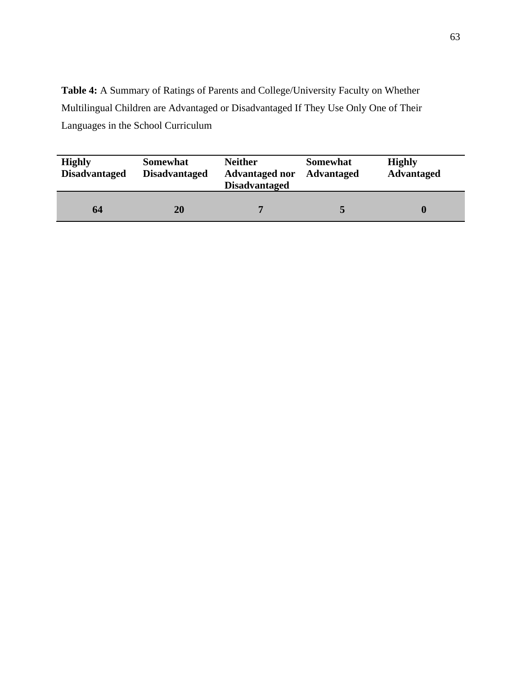**Table 4:** A Summary of Ratings of Parents and College/University Faculty on Whether Multilingual Children are Advantaged or Disadvantaged If They Use Only One of Their Languages in the School Curriculum

| <b>Highly</b><br><b>Disadvantaged</b> | <b>Somewhat</b><br><b>Disadvantaged</b> | <b>Neither</b><br><b>Advantaged nor</b><br><b>Disadvantaged</b> | <b>Somewhat</b><br><b>Advantaged</b> | <b>Highly</b><br><b>Advantaged</b> |
|---------------------------------------|-----------------------------------------|-----------------------------------------------------------------|--------------------------------------|------------------------------------|
| 64                                    | 20                                      |                                                                 |                                      |                                    |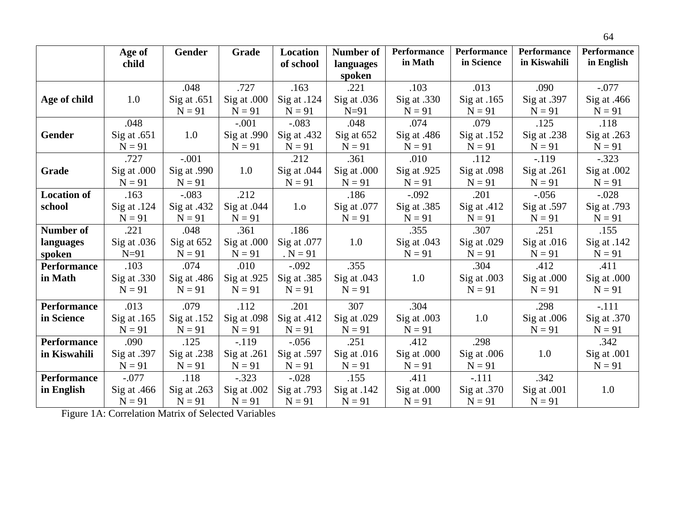|                    | Age of        | Gender        | Grade         | Location      | Number of     | <b>Performance</b> | <b>Performance</b> | <b>Performance</b> | <b>Performance</b> |
|--------------------|---------------|---------------|---------------|---------------|---------------|--------------------|--------------------|--------------------|--------------------|
|                    | child         |               |               | of school     | languages     | in Math            | in Science         | in Kiswahili       | in English         |
|                    |               |               |               |               | spoken        |                    |                    |                    |                    |
|                    |               | .048          | .727          | .163          | .221          | .103               | .013               | .090               | $-.077$            |
| Age of child       | 1.0           | Sig at $.651$ | Sig at .000   | Sig at .124   | Sig at .036   | $Sig$ at .330      | Sig at .165        | Sig at .397        | Sig at $.466$      |
|                    |               | $N = 91$      | $N = 91$      | $N = 91$      | $N=91$        | $N = 91$           | $N = 91$           | $N = 91$           | $N = 91$           |
|                    | .048          |               | $-.001$       | $-.083$       | .048          | .074               | .079               | .125               | .118               |
| Gender             | Sig at $.651$ | 1.0           | Sig at $.990$ | Sig at .432   | Sig at 652    | Sig at $.486$      | Sig at .152        | Sig at .238        | Sig at $.263$      |
|                    | $N = 91$      |               | $N = 91$      | $N = 91$      | $N = 91$      | $N = 91$           | $N = 91$           | $N = 91$           | $N = 91$           |
|                    | .727          | $-.001$       |               | .212          | .361          | .010               | .112               | $-119$             | $-.323$            |
| Grade              | Sig at .000   | Sig at .990   | 1.0           | Sig at $.044$ | Sig at .000   | Sig at .925        | Sig at .098        | Sig at $.261$      | Sig at .002        |
|                    | $N = 91$      | $N = 91$      |               | $N = 91$      | $N = 91$      | $N = 91$           | $N = 91$           | $N = 91$           | $N = 91$           |
| <b>Location of</b> | .163          | $-.083$       | .212          |               | .186          | $-.092$            | .201               | $-.056$            | $-.028$            |
| school             | Sig at $.124$ | Sig at .432   | Sig at $.044$ | 1.o           | Sig at .077   | Sig at .385        | Sig at $.412$      | Sig at $.597$      | Sig at .793        |
|                    | $N = 91$      | $N = 91$      | $N = 91$      |               | $N = 91$      | $N = 91$           | $N = 91$           | $N = 91$           | $N = 91$           |
| <b>Number of</b>   | .221          | .048          | .361          | .186          |               | .355               | .307               | .251               | .155               |
| languages          | Sig at .036   | Sig at 652    | Sig at .000   | Sig at .077   | 1.0           | Sig at $.043$      | Sig at .029        | Sig at $.016$      | Sig at $.142$      |
| spoken             | $N=91$        | $N = 91$      | $N = 91$      | $N = 91$      |               | $N = 91$           | $N = 91$           | $N = 91$           | $N = 91$           |
| <b>Performance</b> | .103          | .074          | .010          | $-.092$       | .355          |                    | .304               | .412               | .411               |
| in Math            | Sig at .330   | Sig at .486   | Sig at .925   | Sig at .385   | Sig at $.043$ | 1.0                | Sig at .003        | Sig at .000        | Sig at .000        |
|                    | $N = 91$      | $N = 91$      | $N = 91$      | $N = 91$      | $N = 91$      |                    | $N = 91$           | $N = 91$           | $N = 91$           |
| <b>Performance</b> | .013          | .079          | .112          | .201          | 307           | .304               |                    | .298               | $-.111$            |
| in Science         | Sig at $.165$ | Sig at $.152$ | Sig at .098   | Sig at $.412$ | Sig at .029   | Sig at .003        | 1.0                | Sig at .006        | $Sig$ at .370      |
|                    | $N = 91$      | $N = 91$      | $N = 91$      | $N = 91$      | $N = 91$      | $N = 91$           |                    | $N = 91$           | $N = 91$           |
| <b>Performance</b> | .090          | .125          | $-.119$       | $-.056$       | .251          | .412               | .298               |                    | .342               |
| in Kiswahili       | Sig at .397   | Sig at .238   | Sig at $.261$ | Sig at .597   | Sig at $.016$ | Sig at .000        | Sig at .006        | 1.0                | Sig at $.001$      |
|                    | $N = 91$      | $N = 91$      | $N = 91$      | $N = 91$      | $N = 91$      | $N = 91$           | $N = 91$           |                    | $N = 91$           |
| <b>Performance</b> | $-.077$       | .118          | $-.323$       | $-.028$       | .155          | .411               | $-.111$            | .342               |                    |
| in English         | Sig at $.466$ | Sig at .263   | Sig at .002   | Sig at .793   | Sig at .142   | Sig at .000        | Sig at $.370$      | Sig at .001        | 1.0                |
|                    | $N = 91$      | $N = 91$      | $N = 91$      | $N = 91$      | $N = 91$      | $N = 91$           | $N = 91$           | $N = 91$           |                    |

Figure 1A: Correlation Matrix of Selected Variables